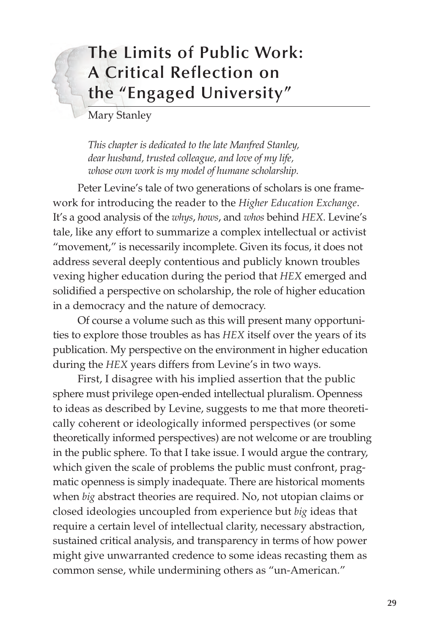# **The Limits of Public Work: A Critical Reflection on the "Engaged University"**

Mary Stanley

*This chapter is dedicated to the late Manfred Stanley, dear husband, trusted colleague, and love of my life, whose own work is my model of humane scholarship.*

Peter Levine's tale of two generations of scholars is one framework for introducing the reader to the *Higher Education Exchange*. It's a good analysis of the *whys*, *hows*, and *whos* behind *HEX*. Levine's tale, like any effort to summarize a complex intellectual or activist "movement," is necessarily incomplete. Given its focus, it does not address several deeply contentious and publicly known troubles vexing higher education during the period that *HEX* emerged and solidified a perspective on scholarship, the role of higher education in a democracy and the nature of democracy.

Of course a volume such as this will present many opportunities to explore those troubles as has *HEX* itself over the years of its publication. My perspective on the environment in higher education during the *HEX* years differs from Levine's in two ways.

First, I disagree with his implied assertion that the public sphere must privilege open-ended intellectual pluralism. Openness to ideas as described by Levine, suggests to me that more theoretically coherent or ideologically informed perspectives (or some theoretically informed perspectives) are not welcome or are troubling in the public sphere. To that I take issue. I would argue the contrary, which given the scale of problems the public must confront, pragmatic openness is simply inadequate. There are historical moments when *big* abstract theories are required. No, not utopian claims or closed ideologies uncoupled from experience but *big* ideas that require a certain level of intellectual clarity, necessary abstraction, sustained critical analysis, and transparency in terms of how power might give unwarranted credence to some ideas recasting them as common sense, while undermining others as "un-American."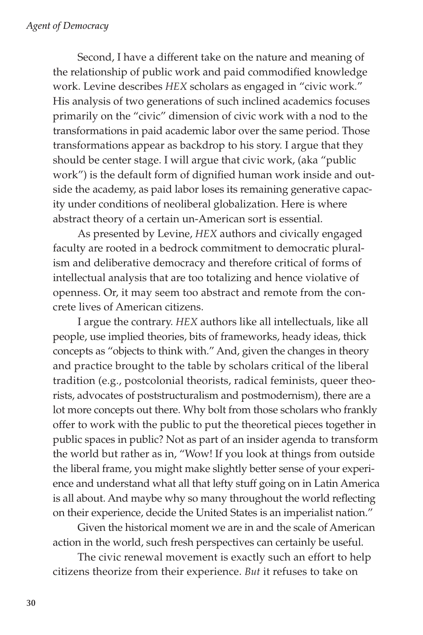Second, I have a different take on the nature and meaning of the relationship of public work and paid commodified knowledge work. Levine describes *HEX* scholars as engaged in "civic work." His analysis of two generations of such inclined academics focuses primarily on the "civic" dimension of civic work with a nod to the transformations in paid academic labor over the same period. Those transformations appear as backdrop to his story. I argue that they should be center stage. I will argue that civic work, (aka "public work") is the default form of dignified human work inside and outside the academy, as paid labor loses its remaining generative capacity under conditions of neoliberal globalization. Here is where abstract theory of a certain un-American sort is essential.

As presented by Levine, *HEX* authors and civically engaged faculty are rooted in a bedrock commitment to democratic pluralism and deliberative democracy and therefore critical of forms of intellectual analysis that are too totalizing and hence violative of openness. Or, it may seem too abstract and remote from the concrete lives of American citizens.

I argue the contrary. *HEX* authors like all intellectuals, like all people, use implied theories, bits of frameworks, heady ideas, thick concepts as "objects to think with." And, given the changes in theory and practice brought to the table by scholars critical of the liberal tradition (e.g., postcolonial theorists, radical feminists, queer theorists, advocates of poststructuralism and postmodernism), there are a lot more concepts out there. Why bolt from those scholars who frankly offer to work with the public to put the theoretical pieces together in public spaces in public? Not as part of an insider agenda to transform the world but rather as in, "Wow! If you look at things from outside the liberal frame, you might make slightly better sense of your experience and understand what all that lefty stuff going on in Latin America is all about. And maybe why so many throughout the world reflecting on their experience, decide the United States is an imperialist nation."

Given the historical moment we are in and the scale of American action in the world, such fresh perspectives can certainly be useful.

The civic renewal movement is exactly such an effort to help citizens theorize from their experience. *But* it refuses to take on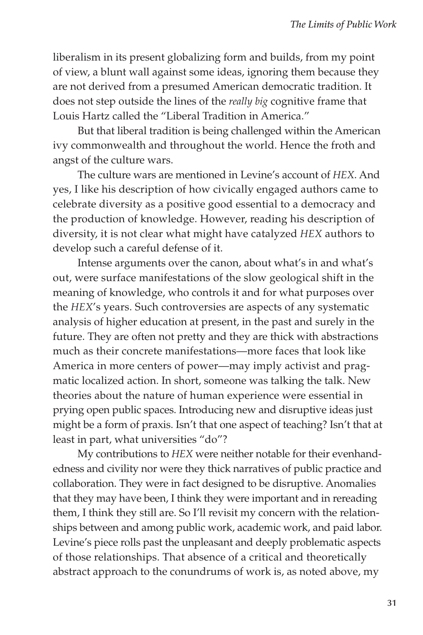liberalism in its present globalizing form and builds, from my point of view, a blunt wall against some ideas, ignoring them because they are not derived from a presumed American democratic tradition. It does not step outside the lines of the *really big* cognitive frame that Louis Hartz called the "Liberal Tradition in America."

But that liberal tradition is being challenged within the American ivy commonwealth and throughout the world. Hence the froth and angst of the culture wars.

The culture wars are mentioned in Levine's account of *HEX*. And yes, I like his description of how civically engaged authors came to celebrate diversity as a positive good essential to a democracy and the production of knowledge. However, reading his description of diversity, it is not clear what might have catalyzed *HEX* authors to develop such a careful defense of it.

Intense arguments over the canon, about what's in and what's out, were surface manifestations of the slow geological shift in the meaning of knowledge, who controls it and for what purposes over the *HEX*'s years. Such controversies are aspects of any systematic analysis of higher education at present, in the past and surely in the future. They are often not pretty and they are thick with abstractions much as their concrete manifestations—more faces that look like America in more centers of power—may imply activist and pragmatic localized action. In short, someone was talking the talk. New theories about the nature of human experience were essential in prying open public spaces. Introducing new and disruptive ideas just might be a form of praxis. Isn't that one aspect of teaching? Isn't that at least in part, what universities "do"?

My contributions to *HEX* were neither notable for their evenhandedness and civility nor were they thick narratives of public practice and collaboration. They were in fact designed to be disruptive. Anomalies that they may have been, I think they were important and in rereading them, I think they still are. So I'll revisit my concern with the relationships between and among public work, academic work, and paid labor. Levine's piece rolls past the unpleasant and deeply problematic aspects of those relationships. That absence of a critical and theoretically abstract approach to the conundrums of work is, as noted above, my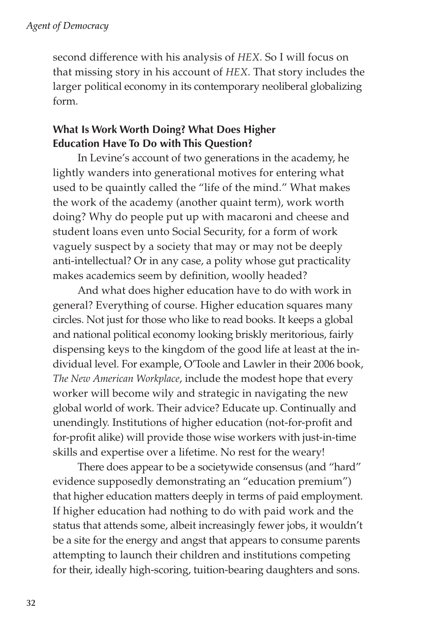second difference with his analysis of *HEX*. So I will focus on that missing story in his account of *HEX*. That story includes the larger political economy in its contemporary neoliberal globalizing form.

# **What Is Work Worth Doing? What Does Higher Education Have To Do with This Question?**

In Levine's account of two generations in the academy, he lightly wanders into generational motives for entering what used to be quaintly called the "life of the mind." What makes the work of the academy (another quaint term), work worth doing? Why do people put up with macaroni and cheese and student loans even unto Social Security, for a form of work vaguely suspect by a society that may or may not be deeply anti-intellectual? Or in any case, a polity whose gut practicality makes academics seem by definition, woolly headed?

And what does higher education have to do with work in general? Everything of course. Higher education squares many circles. Not just for those who like to read books. It keeps a global and national political economy looking briskly meritorious, fairly dispensing keys to the kingdom of the good life at least at the individual level. For example, O'Toole and Lawler in their 2006 book, *The New American Workplace*, include the modest hope that every worker will become wily and strategic in navigating the new global world of work. Their advice? Educate up. Continually and unendingly. Institutions of higher education (not-for-profit and for-profit alike) will provide those wise workers with just-in-time skills and expertise over a lifetime. No rest for the weary!

There does appear to be a societywide consensus (and "hard" evidence supposedly demonstrating an "education premium") that higher education matters deeply in terms of paid employment. If higher education had nothing to do with paid work and the status that attends some, albeit increasingly fewer jobs, it wouldn't be a site for the energy and angst that appears to consume parents attempting to launch their children and institutions competing for their, ideally high-scoring, tuition-bearing daughters and sons.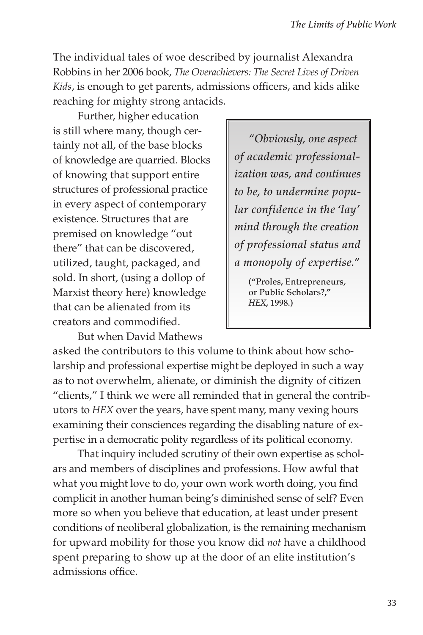The individual tales of woe described by journalist Alexandra Robbins in her 2006 book, *The Overachievers: The Secret Lives of Driven Kids*, is enough to get parents, admissions officers, and kids alike reaching for mighty strong antacids.

Further, higher education is still where many, though certainly not all, of the base blocks of knowledge are quarried. Blocks of knowing that support entire structures of professional practice in every aspect of contemporary existence. Structures that are premised on knowledge "out there" that can be discovered, utilized, taught, packaged, and sold. In short, (using a dollop of Marxist theory here) knowledge that can be alienated from its creators and commodified.

But when David Mathews

*"Obviously, one aspect of academic professionalization was, and continues to be, to undermine popular confidence in the 'lay' mind through the creation of professional status and a monopoly of expertise."*

> **("Proles, Entrepreneurs, or Public Scholars?,"** *HEX***, 1998.)**

asked the contributors to this volume to think about how scholarship and professional expertise might be deployed in such a way as to not overwhelm, alienate, or diminish the dignity of citizen "clients," I think we were all reminded that in general the contributors to *HEX* over the years, have spent many, many vexing hours examining their consciences regarding the disabling nature of expertise in a democratic polity regardless of its political economy.

That inquiry included scrutiny of their own expertise as scholars and members of disciplines and professions. How awful that what you might love to do, your own work worth doing, you find complicit in another human being's diminished sense of self? Even more so when you believe that education, at least under present conditions of neoliberal globalization, is the remaining mechanism for upward mobility for those you know did *not* have a childhood spent preparing to show up at the door of an elite institution's admissions office.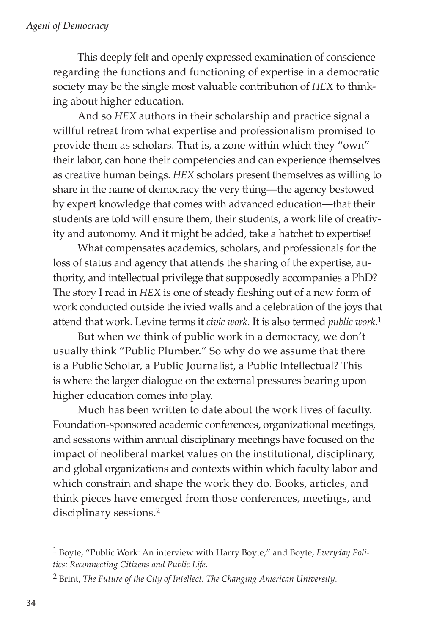#### *Agent of Democracy*

This deeply felt and openly expressed examination of conscience regarding the functions and functioning of expertise in a democratic society may be the single most valuable contribution of *HEX* to thinking about higher education.

And so *HEX* authors in their scholarship and practice signal a willful retreat from what expertise and professionalism promised to provide them as scholars. That is, a zone within which they "own" their labor, can hone their competencies and can experience themselves as creative human beings. *HEX* scholars present themselves as willing to share in the name of democracy the very thing—the agency bestowed by expert knowledge that comes with advanced education—that their students are told will ensure them, their students, a work life of creativity and autonomy. And it might be added, take a hatchet to expertise!

What compensates academics, scholars, and professionals for the loss of status and agency that attends the sharing of the expertise, authority, and intellectual privilege that supposedly accompanies a PhD? The story I read in *HEX* is one of steady fleshing out of a new form of work conducted outside the ivied walls and a celebration of the joys that attend that work. Levine terms it *civic work*. It is also termed *public work*. 1

But when we think of public work in a democracy, we don't usually think "Public Plumber." So why do we assume that there is a Public Scholar, a Public Journalist, a Public Intellectual? This is where the larger dialogue on the external pressures bearing upon higher education comes into play.

Much has been written to date about the work lives of faculty. Foundation-sponsored academic conferences, organizational meetings, and sessions within annual disciplinary meetings have focused on the impact of neoliberal market values on the institutional, disciplinary, and global organizations and contexts within which faculty labor and which constrain and shape the work they do. Books, articles, and think pieces have emerged from those conferences, meetings, and disciplinary sessions. 2

<sup>1</sup> Boyte, "Public Work: An interview with Harry Boyte," and Boyte, *Everyday Politics: Reconnecting Citizens and Public Life*.

<sup>2</sup> Brint, *The Future of the City of Intellect: The Changing American University*.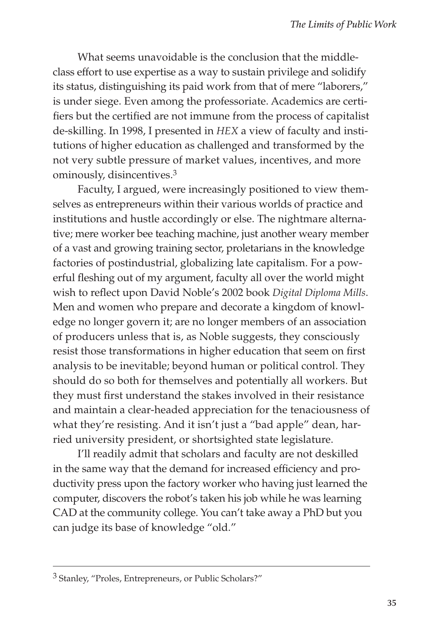What seems unavoidable is the conclusion that the middleclass effort to use expertise as a way to sustain privilege and solidify its status, distinguishing its paid work from that of mere "laborers," is under siege. Even among the professoriate. Academics are certifiers but the certified are not immune from the process of capitalist de-skilling. In 1998, I presented in *HEX* a view of faculty and institutions of higher education as challenged and transformed by the not very subtle pressure of market values, incentives, and more ominously, disincentives. 3

Faculty, I argued, were increasingly positioned to view themselves as entrepreneurs within their various worlds of practice and institutions and hustle accordingly or else. The nightmare alternative; mere worker bee teaching machine, just another weary member of a vast and growing training sector, proletarians in the knowledge factories of postindustrial, globalizing late capitalism. For a powerful fleshing out of my argument, faculty all over the world might wish to reflect upon David Noble's 2002 book *Digital Diploma Mills*. Men and women who prepare and decorate a kingdom of knowledge no longer govern it; are no longer members of an association of producers unless that is, as Noble suggests, they consciously resist those transformations in higher education that seem on first analysis to be inevitable; beyond human or political control. They should do so both for themselves and potentially all workers. But they must first understand the stakes involved in their resistance and maintain a clear-headed appreciation for the tenaciousness of what they're resisting. And it isn't just a "bad apple" dean, harried university president, or shortsighted state legislature.

I'll readily admit that scholars and faculty are not deskilled in the same way that the demand for increased efficiency and productivity press upon the factory worker who having just learned the computer, discovers the robot's taken his job while he was learning CAD at the community college. You can't take away a PhD but you can judge its base of knowledge "old."

<sup>3</sup> Stanley, "Proles, Entrepreneurs, or Public Scholars?"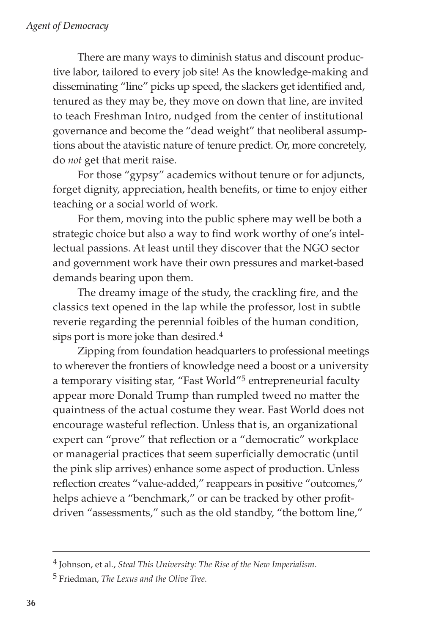There are many ways to diminish status and discount productive labor, tailored to every job site! As the knowledge-making and disseminating "line" picks up speed, the slackers get identified and, tenured as they may be, they move on down that line, are invited to teach Freshman Intro, nudged from the center of institutional governance and become the "dead weight" that neoliberal assumptions about the atavistic nature of tenure predict. Or, more concretely, do *not* get that merit raise.

For those "gypsy" academics without tenure or for adjuncts, forget dignity, appreciation, health benefits, or time to enjoy either teaching or a social world of work.

For them, moving into the public sphere may well be both a strategic choice but also a way to find work worthy of one's intellectual passions. At least until they discover that the NGO sector and government work have their own pressures and market-based demands bearing upon them.

The dreamy image of the study, the crackling fire, and the classics text opened in the lap while the professor, lost in subtle reverie regarding the perennial foibles of the human condition, sips port is more joke than desired. 4

Zipping from foundation headquarters to professional meetings to wherever the frontiers of knowledge need a boost or a university a temporary visiting star, "Fast World"5 entrepreneurial faculty appear more Donald Trump than rumpled tweed no matter the quaintness of the actual costume they wear. Fast World does not encourage wasteful reflection. Unless that is, an organizational expert can "prove" that reflection or a "democratic" workplace or managerial practices that seem superficially democratic (until the pink slip arrives) enhance some aspect of production. Unless reflection creates "value-added," reappears in positive "outcomes," helps achieve a "benchmark," or can be tracked by other profitdriven "assessments," such as the old standby, "the bottom line,"

<sup>4</sup> Johnson, et al., *Steal This University: The Rise of the New Imperialism*.

<sup>5</sup> Friedman, *The Lexus and the Olive Tree*.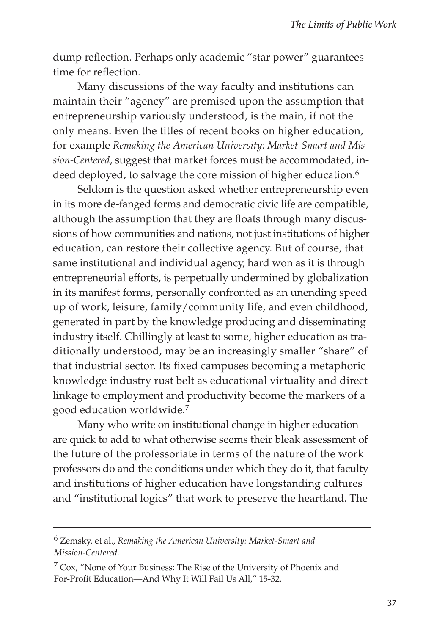dump reflection. Perhaps only academic "star power" guarantees time for reflection.

Many discussions of the way faculty and institutions can maintain their "agency" are premised upon the assumption that entrepreneurship variously understood, is the main, if not the only means. Even the titles of recent books on higher education, for example *Remaking the American University: Market-Smart and Mission-Centered*, suggest that market forces must be accommodated, indeed deployed, to salvage the core mission of higher education. $^6$ 

Seldom is the question asked whether entrepreneurship even in its more de-fanged forms and democratic civic life are compatible, although the assumption that they are floats through many discussions of how communities and nations, not just institutions of higher education, can restore their collective agency. But of course, that same institutional and individual agency, hard won as it is through entrepreneurial efforts, is perpetually undermined by globalization in its manifest forms, personally confronted as an unending speed up of work, leisure, family/community life, and even childhood, generated in part by the knowledge producing and disseminating industry itself. Chillingly at least to some, higher education as traditionally understood, may be an increasingly smaller "share" of that industrial sector. Its fixed campuses becoming a metaphoric knowledge industry rust belt as educational virtuality and direct linkage to employment and productivity become the markers of a good education worldwide. 7

Many who write on institutional change in higher education are quick to add to what otherwise seems their bleak assessment of the future of the professoriate in terms of the nature of the work professors do and the conditions under which they do it, that faculty and institutions of higher education have longstanding cultures and "institutional logics" that work to preserve the heartland. The

<sup>6</sup> Zemsky, et al., *Remaking the American University: Market-Smart and Mission-Centered*.

 $7$  Cox, "None of Your Business: The Rise of the University of Phoenix and For-Profit Education—And Why It Will Fail Us All," 15-32.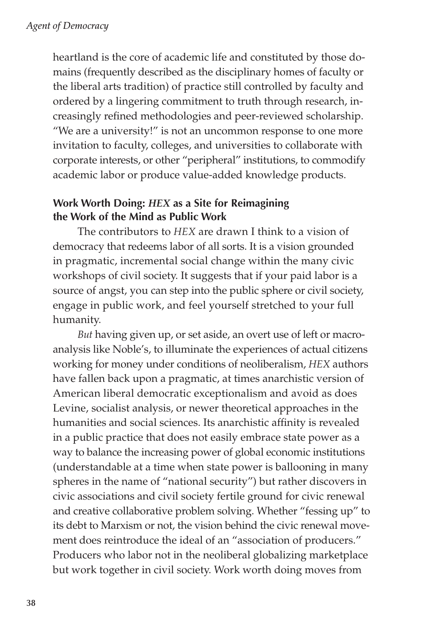heartland is the core of academic life and constituted by those domains (frequently described as the disciplinary homes of faculty or the liberal arts tradition) of practice still controlled by faculty and ordered by a lingering commitment to truth through research, increasingly refined methodologies and peer-reviewed scholarship. "We are a university!" is not an uncommon response to one more invitation to faculty, colleges, and universities to collaborate with corporate interests, or other "peripheral" institutions, to commodify academic labor or produce value-added knowledge products.

# **Work Worth Doing:** *HEX* **as a Site for Reimagining the Work of the Mind as Public Work**

The contributors to *HEX* are drawn I think to a vision of democracy that redeems labor of all sorts. It is a vision grounded in pragmatic, incremental social change within the many civic workshops of civil society. It suggests that if your paid labor is a source of angst, you can step into the public sphere or civil society, engage in public work, and feel yourself stretched to your full humanity.

*But* having given up, or set aside, an overt use of left or macroanalysis like Noble's, to illuminate the experiences of actual citizens working for money under conditions of neoliberalism, *HEX* authors have fallen back upon a pragmatic, at times anarchistic version of American liberal democratic exceptionalism and avoid as does Levine, socialist analysis, or newer theoretical approaches in the humanities and social sciences. Its anarchistic affinity is revealed in a public practice that does not easily embrace state power as a way to balance the increasing power of global economic institutions (understandable at a time when state power is ballooning in many spheres in the name of "national security") but rather discovers in civic associations and civil society fertile ground for civic renewal and creative collaborative problem solving. Whether "fessing up" to its debt to Marxism or not, the vision behind the civic renewal movement does reintroduce the ideal of an "association of producers." Producers who labor not in the neoliberal globalizing marketplace but work together in civil society. Work worth doing moves from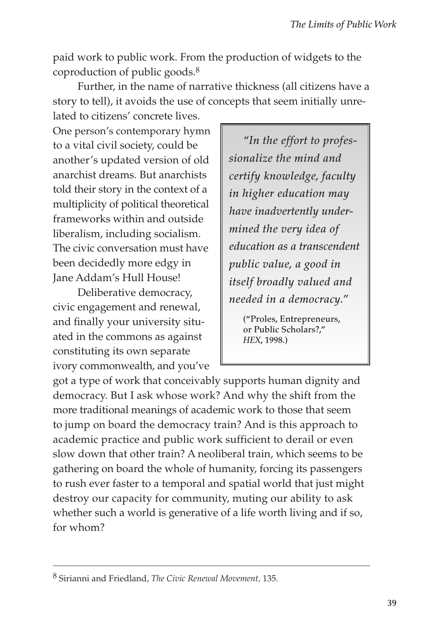paid work to public work. From the production of widgets to the coproduction of public goods. 8

Further, in the name of narrative thickness (all citizens have a story to tell), it avoids the use of concepts that seem initially unre-

lated to citizens' concrete lives. One person's contemporary hymn to a vital civil society, could be another's updated version of old anarchist dreams. But anarchists told their story in the context of a multiplicity of political theoretical frameworks within and outside liberalism, including socialism. The civic conversation must have been decidedly more edgy in Jane Addam's Hull House!

Deliberative democracy, civic engagement and renewal, and finally your university situated in the commons as against constituting its own separate ivory commonwealth, and you've

*"In the effort to professionalize the mind and certify knowledge, faculty in higher education may have inadvertently undermined the very idea of education as a transcendent public value, a good in itself broadly valued and needed in a democracy."*

> **("Proles, Entrepreneurs, or Public Scholars?,"** *HEX***, 1998.)**

got a type of work that conceivably supports human dignity and democracy. But I ask whose work? And why the shift from the more traditional meanings of academic work to those that seem to jump on board the democracy train? And is this approach to academic practice and public work sufficient to derail or even slow down that other train? A neoliberal train, which seems to be gathering on board the whole of humanity, forcing its passengers to rush ever faster to a temporal and spatial world that just might destroy our capacity for community, muting our ability to ask whether such a world is generative of a life worth living and if so, for whom?

<sup>8</sup> Sirianni and Friedland, *The Civic Renewal Movement,* 135.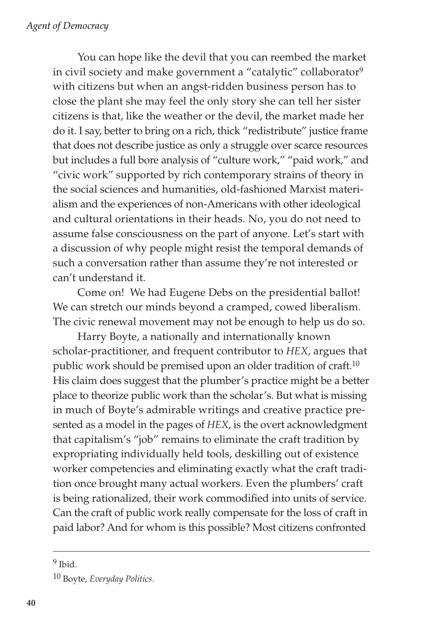You can hope like the devil that you can reembed the market in civil society and make government a "catalytic" collaborator<sup>9</sup> with citizens but when an angst-ridden business person has to close the plant she may feel the only story she can tell her sister citizens is that, like the weather or the devil, the market made her do it. I say, better to bring on a rich, thick "redistribute" justice frame that does not describe justice as only a struggle over scarce resources but includes a full bore analysis of "culture work," "paid work," and "civic work" supported by rich contemporary strains of theory in the social sciences and humanities, old-fashioned Marxist materialism and the experiences of non-Americans with other ideological and cultural orientations in their heads. No, you do not need to assume false consciousness on the part of anyone. Let's start with a discussion of why people might resist the temporal demands of such a conversation rather than assume they're not interested or can't understand it.

Come on! We had Eugene Debs on the presidential ballot! We can stretch our minds beyond a cramped, cowed liberalism. The civic renewal movement may not be enough to help us do so.

Harry Boyte, a nationally and internationally known scholar-practitioner, and frequent contributor to *HEX*, argues that public work should be premised upon an older tradition of craft. $^{\rm 10}$ His claim does suggest that the plumber's practice might be a better place to theorize public work than the scholar's. But what is missing in much of Boyte's admirable writings and creative practice presented as a model in the pages of *HEX*, is the overt acknowledgment that capitalism's "job" remains to eliminate the craft tradition by expropriating individually held tools, deskilling out of existence worker competencies and eliminating exactly what the craft tradition once brought many actual workers. Even the plumbers' craft is being rationalized, their work commodified into units of service. Can the craft of public work really compensate for the loss of craft in paid labor? And for whom is this possible? Most citizens confronted

<sup>9</sup> Ibid.

<sup>10</sup> Boyte, *Everyday Politics*.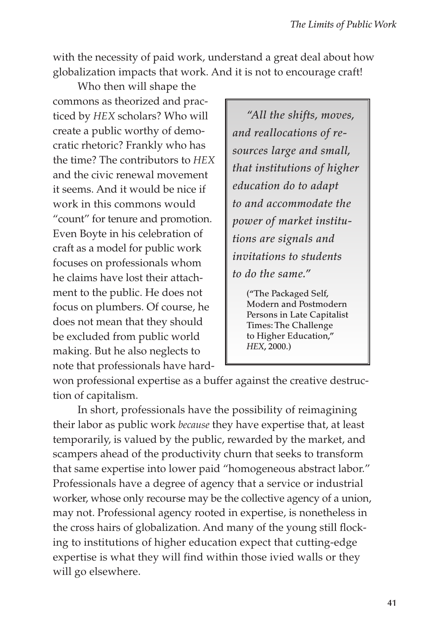with the necessity of paid work, understand a great deal about how globalization impacts that work. And it is not to encourage craft!

Who then will shape the commons as theorized and practiced by *HEX* scholars? Who will create a public worthy of democratic rhetoric? Frankly who has the time? The contributors to *HEX* and the civic renewal movement it seems. And it would be nice if work in this commons would "count" for tenure and promotion. Even Boyte in his celebration of craft as a model for public work focuses on professionals whom he claims have lost their attachment to the public. He does not focus on plumbers. Of course, he does not mean that they should be excluded from public world making. But he also neglects to note that professionals have hard-

*"All the shifts, moves, and reallocations of resources large and small, that institutions of higher education do to adapt to and accommodate the power of market institutions are signals and invitations to students to do the same."*

> **("The Packaged Self, Modern and Postmodern Persons in Late Capitalist Times: The Challenge to Higher Education,"** *HEX***, 2000.)**

won professional expertise as a buffer against the creative destruction of capitalism.

In short, professionals have the possibility of reimagining their labor as public work *because* they have expertise that, at least temporarily, is valued by the public, rewarded by the market, and scampers ahead of the productivity churn that seeks to transform that same expertise into lower paid "homogeneous abstract labor." Professionals have a degree of agency that a service or industrial worker, whose only recourse may be the collective agency of a union, may not. Professional agency rooted in expertise, is nonetheless in the cross hairs of globalization. And many of the young still flocking to institutions of higher education expect that cutting-edge expertise is what they will find within those ivied walls or they will go elsewhere.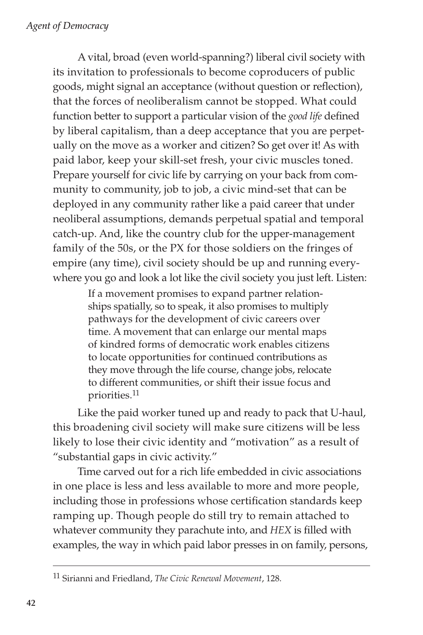A vital, broad (even world-spanning?) liberal civil society with its invitation to professionals to become coproducers of public goods, might signal an acceptance (without question or reflection), that the forces of neoliberalism cannot be stopped. What could function better to support a particular vision of the *good life* defined by liberal capitalism, than a deep acceptance that you are perpetually on the move as a worker and citizen? So get over it! As with paid labor, keep your skill-set fresh, your civic muscles toned. Prepare yourself for civic life by carrying on your back from community to community, job to job, a civic mind-set that can be deployed in any community rather like a paid career that under neoliberal assumptions, demands perpetual spatial and temporal catch-up. And, like the country club for the upper-management family of the 50s, or the PX for those soldiers on the fringes of empire (any time), civil society should be up and running everywhere you go and look a lot like the civil society you just left. Listen:

> If a movement promises to expand partner relationships spatially, so to speak, it also promises to multiply pathways for the development of civic careers over time. A movement that can enlarge our mental maps of kindred forms of democratic work enables citizens to locate opportunities for continued contributions as they move through the life course, change jobs, relocate to different communities, or shift their issue focus and priorities. 11

Like the paid worker tuned up and ready to pack that U-haul, this broadening civil society will make sure citizens will be less likely to lose their civic identity and "motivation" as a result of "substantial gaps in civic activity."

Time carved out for a rich life embedded in civic associations in one place is less and less available to more and more people, including those in professions whose certification standards keep ramping up. Though people do still try to remain attached to whatever community they parachute into, and *HEX* is filled with examples, the way in which paid labor presses in on family, persons,

<sup>11</sup> Sirianni and Friedland, *The Civic Renewal Movement*, 128.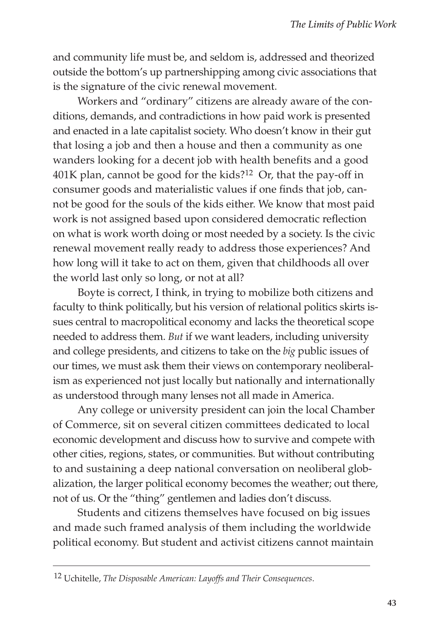and community life must be, and seldom is, addressed and theorized outside the bottom's up partnershipping among civic associations that is the signature of the civic renewal movement.

Workers and "ordinary" citizens are already aware of the conditions, demands, and contradictions in how paid work is presented and enacted in a late capitalist society. Who doesn't know in their gut that losing a job and then a house and then a community as one wanders looking for a decent job with health benefits and a good 401K plan, cannot be good for the kids?12 Or, that the pay-off in consumer goods and materialistic values if one finds that job, cannot be good for the souls of the kids either. We know that most paid work is not assigned based upon considered democratic reflection on what is work worth doing or most needed by a society. Is the civic renewal movement really ready to address those experiences? And how long will it take to act on them, given that childhoods all over the world last only so long, or not at all?

Boyte is correct, I think, in trying to mobilize both citizens and faculty to think politically, but his version of relational politics skirts issues central to macropolitical economy and lacks the theoretical scope needed to address them. *But* if we want leaders, including university and college presidents, and citizens to take on the *big* public issues of our times, we must ask them their views on contemporary neoliberalism as experienced not just locally but nationally and internationally as understood through many lenses not all made in America.

Any college or university president can join the local Chamber of Commerce, sit on several citizen committees dedicated to local economic development and discuss how to survive and compete with other cities, regions, states, or communities. But without contributing to and sustaining a deep national conversation on neoliberal globalization, the larger political economy becomes the weather; out there, not of us. Or the "thing" gentlemen and ladies don't discuss.

Students and citizens themselves have focused on big issues and made such framed analysis of them including the worldwide political economy. But student and activist citizens cannot maintain

<sup>12</sup> Uchitelle, *The Disposable American: Layoffs and Their Consequences*.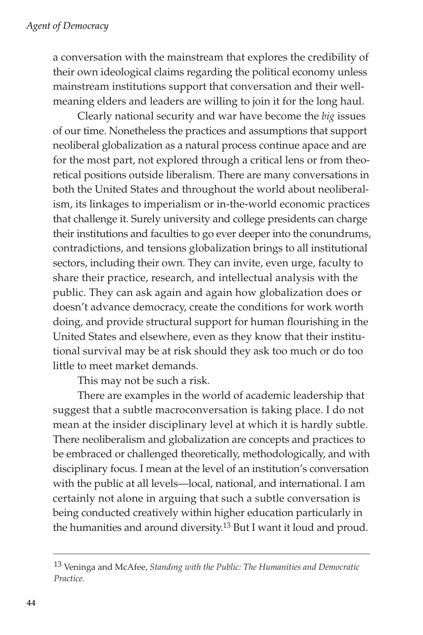a conversation with the mainstream that explores the credibility of their own ideological claims regarding the political economy unless mainstream institutions support that conversation and their wellmeaning elders and leaders are willing to join it for the long haul.

Clearly national security and war have become the *big* issues of our time. Nonetheless the practices and assumptions that support neoliberal globalization as a natural process continue apace and are for the most part, not explored through a critical lens or from theoretical positions outside liberalism. There are many conversations in both the United States and throughout the world about neoliberalism, its linkages to imperialism or in-the-world economic practices that challenge it. Surely university and college presidents can charge their institutions and faculties to go ever deeper into the conundrums, contradictions, and tensions globalization brings to all institutional sectors, including their own. They can invite, even urge, faculty to share their practice, research, and intellectual analysis with the public. They can ask again and again how globalization does or doesn't advance democracy, create the conditions for work worth doing, and provide structural support for human flourishing in the United States and elsewhere, even as they know that their institutional survival may be at risk should they ask too much or do too little to meet market demands.

This may not be such a risk.

There are examples in the world of academic leadership that suggest that a subtle macroconversation is taking place. I do not mean at the insider disciplinary level at which it is hardly subtle. There neoliberalism and globalization are concepts and practices to be embraced or challenged theoretically, methodologically, and with disciplinary focus. I mean at the level of an institution's conversation with the public at all levels—local, national, and international. I am certainly not alone in arguing that such a subtle conversation is being conducted creatively within higher education particularly in the humanities and around diversity. <sup>13</sup> But I want it loud and proud.

<sup>13</sup> Veninga and McAfee, *Standing with the Public: The Humanities and Democratic Practice*.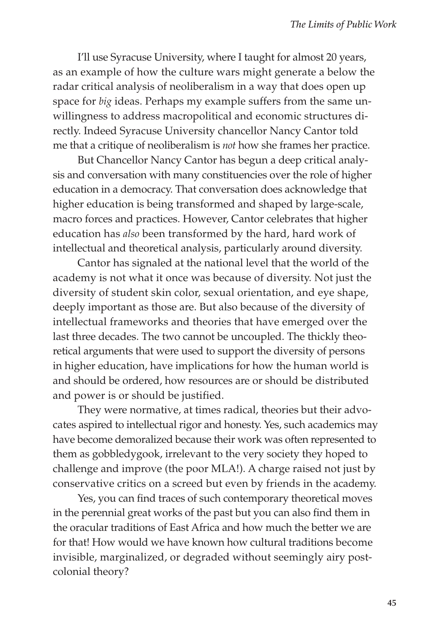I'll use Syracuse University, where I taught for almost 20 years, as an example of how the culture wars might generate a below the radar critical analysis of neoliberalism in a way that does open up space for *big* ideas. Perhaps my example suffers from the same unwillingness to address macropolitical and economic structures directly. Indeed Syracuse University chancellor Nancy Cantor told me that a critique of neoliberalism is *not* how she frames her practice.

But Chancellor Nancy Cantor has begun a deep critical analysis and conversation with many constituencies over the role of higher education in a democracy. That conversation does acknowledge that higher education is being transformed and shaped by large-scale, macro forces and practices. However, Cantor celebrates that higher education has *also* been transformed by the hard, hard work of intellectual and theoretical analysis, particularly around diversity.

Cantor has signaled at the national level that the world of the academy is not what it once was because of diversity. Not just the diversity of student skin color, sexual orientation, and eye shape, deeply important as those are. But also because of the diversity of intellectual frameworks and theories that have emerged over the last three decades. The two cannot be uncoupled. The thickly theoretical arguments that were used to support the diversity of persons in higher education, have implications for how the human world is and should be ordered, how resources are or should be distributed and power is or should be justified.

They were normative, at times radical, theories but their advocates aspired to intellectual rigor and honesty. Yes, such academics may have become demoralized because their work was often represented to them as gobbledygook, irrelevant to the very society they hoped to challenge and improve (the poor MLA!). A charge raised not just by conservative critics on a screed but even by friends in the academy.

Yes, you can find traces of such contemporary theoretical moves in the perennial great works of the past but you can also find them in the oracular traditions of East Africa and how much the better we are for that! How would we have known how cultural traditions become invisible, marginalized, or degraded without seemingly airy postcolonial theory?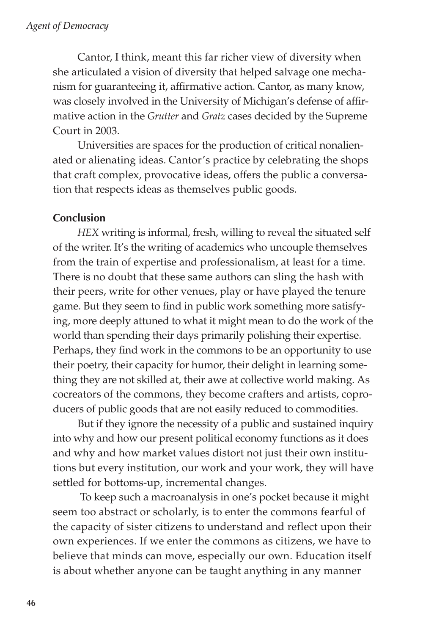Cantor, I think, meant this far richer view of diversity when she articulated a vision of diversity that helped salvage one mechanism for guaranteeing it, affirmative action. Cantor, as many know, was closely involved in the University of Michigan's defense of affirmative action in the *Grutter* and *Gratz* cases decided by the Supreme Court in 2003.

Universities are spaces for the production of critical nonalienated or alienating ideas. Cantor's practice by celebrating the shops that craft complex, provocative ideas, offers the public a conversation that respects ideas as themselves public goods.

## **Conclusion**

*HEX* writing is informal, fresh, willing to reveal the situated self of the writer. It's the writing of academics who uncouple themselves from the train of expertise and professionalism, at least for a time. There is no doubt that these same authors can sling the hash with their peers, write for other venues, play or have played the tenure game. But they seem to find in public work something more satisfying, more deeply attuned to what it might mean to do the work of the world than spending their days primarily polishing their expertise. Perhaps, they find work in the commons to be an opportunity to use their poetry, their capacity for humor, their delight in learning something they are not skilled at, their awe at collective world making. As cocreators of the commons, they become crafters and artists, coproducers of public goods that are not easily reduced to commodities.

But if they ignore the necessity of a public and sustained inquiry into why and how our present political economy functions as it does and why and how market values distort not just their own institutions but every institution, our work and your work, they will have settled for bottoms-up, incremental changes.

To keep such a macroanalysis in one's pocket because it might seem too abstract or scholarly, is to enter the commons fearful of the capacity of sister citizens to understand and reflect upon their own experiences. If we enter the commons as citizens, we have to believe that minds can move, especially our own. Education itself is about whether anyone can be taught anything in any manner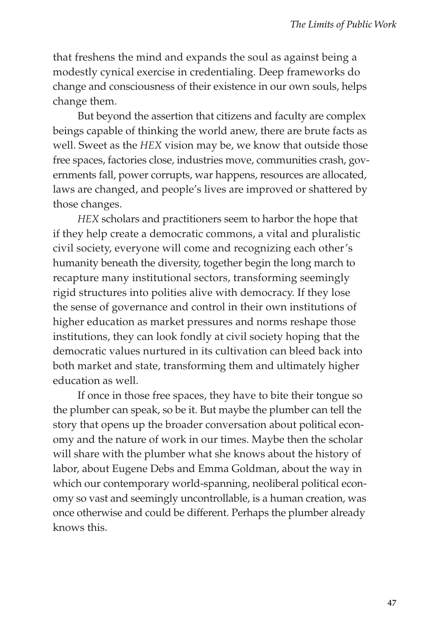that freshens the mind and expands the soul as against being a modestly cynical exercise in credentialing. Deep frameworks do change and consciousness of their existence in our own souls, helps change them.

But beyond the assertion that citizens and faculty are complex beings capable of thinking the world anew, there are brute facts as well. Sweet as the *HEX* vision may be, we know that outside those free spaces, factories close, industries move, communities crash, governments fall, power corrupts, war happens, resources are allocated, laws are changed, and people's lives are improved or shattered by those changes.

*HEX* scholars and practitioners seem to harbor the hope that if they help create a democratic commons, a vital and pluralistic civil society, everyone will come and recognizing each other's humanity beneath the diversity, together begin the long march to recapture many institutional sectors, transforming seemingly rigid structures into polities alive with democracy. If they lose the sense of governance and control in their own institutions of higher education as market pressures and norms reshape those institutions, they can look fondly at civil society hoping that the democratic values nurtured in its cultivation can bleed back into both market and state, transforming them and ultimately higher education as well.

If once in those free spaces, they have to bite their tongue so the plumber can speak, so be it. But maybe the plumber can tell the story that opens up the broader conversation about political economy and the nature of work in our times. Maybe then the scholar will share with the plumber what she knows about the history of labor, about Eugene Debs and Emma Goldman, about the way in which our contemporary world-spanning, neoliberal political economy so vast and seemingly uncontrollable, is a human creation, was once otherwise and could be different. Perhaps the plumber already knows this.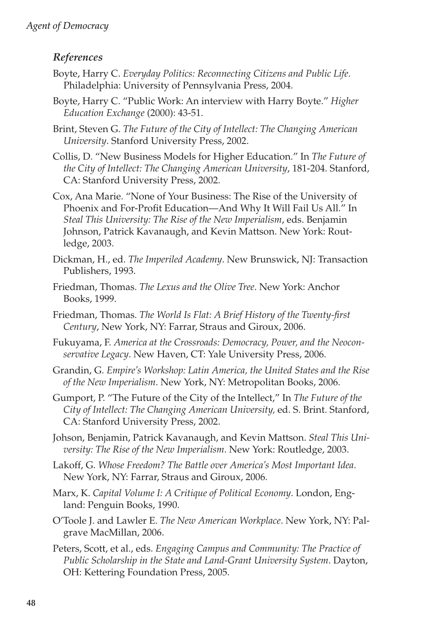#### *References*

- Boyte, Harry C. *Everyday Politics: Reconnecting Citizens and Public Life*. Philadelphia: University of Pennsylvania Press, 2004.
- Boyte, Harry C. "Public Work: An interview with Harry Boyte." *Higher Education Exchange* (2000): 43-51.
- Brint, Steven G. *The Future of the City of Intellect: The Changing American University*. Stanford University Press, 2002.
- Collis, D. "New Business Models for Higher Education." In *The Future of the City of Intellect: The Changing American University*, 181-204. Stanford, CA: Stanford University Press, 2002.
- Cox, Ana Marie. "None of Your Business: The Rise of the University of Phoenix and For-Profit Education—And Why It Will Fail Us All." In *Steal This University: The Rise of the New Imperialism*, eds. Benjamin Johnson, Patrick Kavanaugh, and Kevin Mattson. New York: Routledge, 2003.
- Dickman, H., ed. *The Imperiled Academy*. New Brunswick, NJ: Transaction Publishers, 1993.
- Friedman, Thomas. *The Lexus and the Olive Tree*. New York: Anchor Books, 1999.
- Friedman, Thomas. *The World Is Flat: A Brief History of the Twenty-first Century*, New York, NY: Farrar, Straus and Giroux, 2006.
- Fukuyama, F. *America at the Crossroads: Democracy, Power, and the Neoconservative Legacy*. New Haven, CT: Yale University Press, 2006.
- Grandin, G. *Empire's Workshop: Latin America, the United States and the Rise of the New Imperialism*. New York, NY: Metropolitan Books, 2006.
- Gumport, P. "The Future of the City of the Intellect," In *The Future of the City of Intellect: The Changing American University,* ed. S. Brint. Stanford, CA: Stanford University Press, 2002.
- Johson, Benjamin, Patrick Kavanaugh, and Kevin Mattson. *Steal This University: The Rise of the New Imperialism*. New York: Routledge, 2003.
- Lakoff, G. *Whose Freedom? The Battle over America's Most Important Idea*. New York, NY: Farrar, Straus and Giroux, 2006.
- Marx, K. *Capital Volume I: A Critique of Political Economy*. London, England: Penguin Books, 1990.
- O'Toole J. and Lawler E. *The New American Workplace*. New York, NY: Palgrave MacMillan, 2006.
- Peters, Scott, et al., eds. *Engaging Campus and Community: The Practice of Public Scholarship in the State and Land-Grant University System*. Dayton, OH: Kettering Foundation Press, 2005.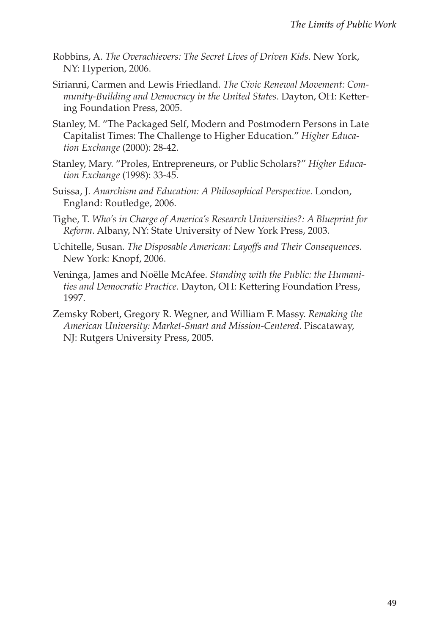- Robbins, A. *The Overachievers: The Secret Lives of Driven Kids*. New York, NY: Hyperion, 2006.
- Sirianni, Carmen and Lewis Friedland*. The Civic Renewal Movement: Community-Building and Democracy in the United States*. Dayton, OH: Kettering Foundation Press, 2005.
- Stanley, M. "The Packaged Self, Modern and Postmodern Persons in Late Capitalist Times: The Challenge to Higher Education." *Higher Education Exchange* (2000): 28-42.
- Stanley, Mary. "Proles, Entrepreneurs, or Public Scholars?" *Higher Education Exchange* (1998): 33-45.
- Suissa, J. *Anarchism and Education: A Philosophical Perspective*. London, England: Routledge, 2006.
- Tighe, T. *Who's in Charge of America's Research Universities?: A Blueprint for Reform*. Albany, NY: State University of New York Press, 2003.
- Uchitelle, Susan. *The Disposable American: Layoffs and Their Consequences*. New York: Knopf, 2006.
- Veninga, James and Noëlle McAfee. *Standing with the Public: the Humanities and Democratic Practice*. Dayton, OH: Kettering Foundation Press, 1997.
- Zemsky Robert, Gregory R. Wegner, and William F. Massy. *Remaking the American University: Market-Smart and Mission-Centered*. Piscataway, NJ: Rutgers University Press, 2005.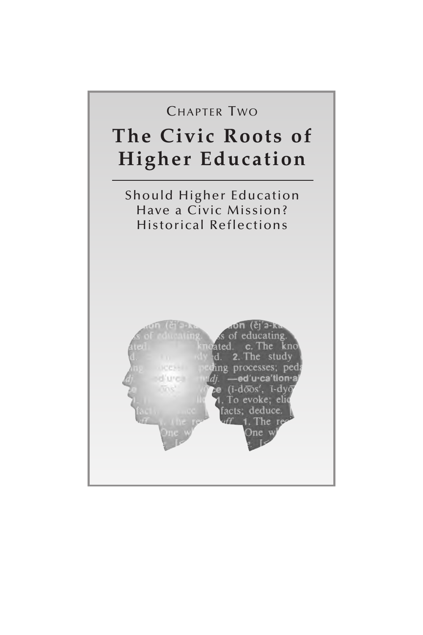# CHAPTER TWO

# **The Civic Roots of Higher Education**

Should Higher Education Have a Civic Mission? Historical Reflections

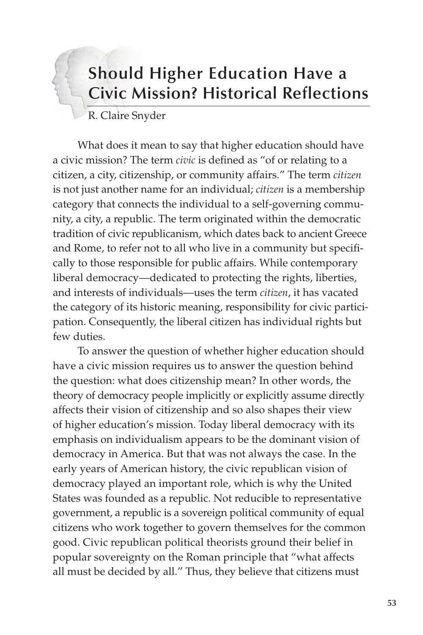# **Should Higher Education Have a Civic Mission? Historical Reflections**

R. Claire Snyder

What does it mean to say that higher education should have a civic mission? The term *civic* is defined as "of or relating to a citizen, a city, citizenship, or community affairs." The term *citizen* is not just another name for an individual; *citizen* is a membership category that connects the individual to a self-governing community, a city, a republic. The term originated within the democratic tradition of civic republicanism, which dates back to ancient Greece and Rome, to refer not to all who live in a community but specifically to those responsible for public affairs. While contemporary liberal democracy—dedicated to protecting the rights, liberties, and interests of individuals—uses the term *citizen*, it has vacated the category of its historic meaning, responsibility for civic participation. Consequently, the liberal citizen has individual rights but few duties.

To answer the question of whether higher education should have a civic mission requires us to answer the question behind the question: what does citizenship mean? In other words, the theory of democracy people implicitly or explicitly assume directly affects their vision of citizenship and so also shapes their view of higher education's mission. Today liberal democracy with its emphasis on individualism appears to be the dominant vision of democracy in America. But that was not always the case. In the early years of American history, the civic republican vision of democracy played an important role, which is why the United States was founded as a republic. Not reducible to representative government, a republic is a sovereign political community of equal citizens who work together to govern themselves for the common good. Civic republican political theorists ground their belief in popular sovereignty on the Roman principle that "what affects all must be decided by all." Thus, they believe that citizens must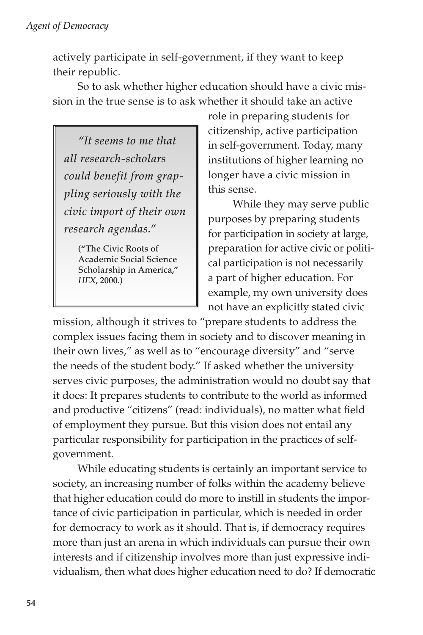actively participate in self-government, if they want to keep their republic.

So to ask whether higher education should have a civic mission in the true sense is to ask whether it should take an active

*"It seems to me that all research-scholars could benefit from grappling seriously with the civic import of their own research agendas."*

> **("The Civic Roots of Academic Social Science Scholarship in America,"** *HEX***, 2000.)**

role in preparing students for citizenship, active participation in self-government. Today, many institutions of higher learning no longer have a civic mission in this sense.

While they may serve public purposes by preparing students for participation in society at large, preparation for active civic or political participation is not necessarily a part of higher education. For example, my own university does not have an explicitly stated civic

mission, although it strives to "prepare students to address the complex issues facing them in society and to discover meaning in their own lives," as well as to "encourage diversity" and "serve the needs of the student body." If asked whether the university serves civic purposes, the administration would no doubt say that it does: It prepares students to contribute to the world as informed and productive "citizens" (read: individuals), no matter what field of employment they pursue. But this vision does not entail any particular responsibility for participation in the practices of selfgovernment.

While educating students is certainly an important service to society, an increasing number of folks within the academy believe that higher education could do more to instill in students the importance of civic participation in particular, which is needed in order for democracy to work as it should. That is, if democracy requires more than just an arena in which individuals can pursue their own interests and if citizenship involves more than just expressive individualism, then what does higher education need to do? If democratic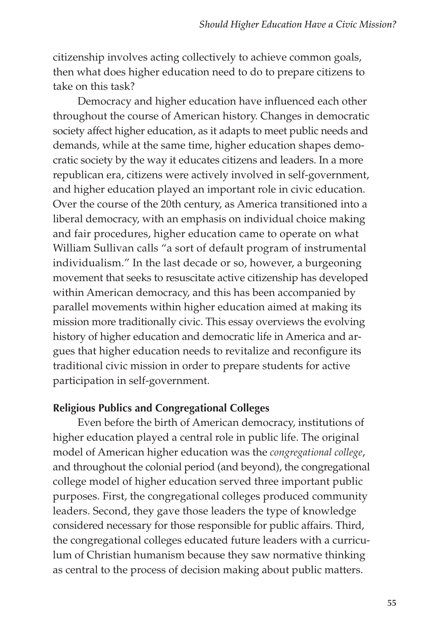citizenship involves acting collectively to achieve common goals, then what does higher education need to do to prepare citizens to take on this task?

Democracy and higher education have influenced each other throughout the course of American history. Changes in democratic society affect higher education, as it adapts to meet public needs and demands, while at the same time, higher education shapes democratic society by the way it educates citizens and leaders. In a more republican era, citizens were actively involved in self-government, and higher education played an important role in civic education. Over the course of the 20th century, as America transitioned into a liberal democracy, with an emphasis on individual choice making and fair procedures, higher education came to operate on what William Sullivan calls "a sort of default program of instrumental individualism." In the last decade or so, however, a burgeoning movement that seeks to resuscitate active citizenship has developed within American democracy, and this has been accompanied by parallel movements within higher education aimed at making its mission more traditionally civic. This essay overviews the evolving history of higher education and democratic life in America and argues that higher education needs to revitalize and reconfigure its traditional civic mission in order to prepare students for active participation in self-government.

#### **Religious Publics and Congregational Colleges**

Even before the birth of American democracy, institutions of higher education played a central role in public life. The original model of American higher education was the *congregational college*, and throughout the colonial period (and beyond), the congregational college model of higher education served three important public purposes. First, the congregational colleges produced community leaders. Second, they gave those leaders the type of knowledge considered necessary for those responsible for public affairs. Third, the congregational colleges educated future leaders with a curriculum of Christian humanism because they saw normative thinking as central to the process of decision making about public matters.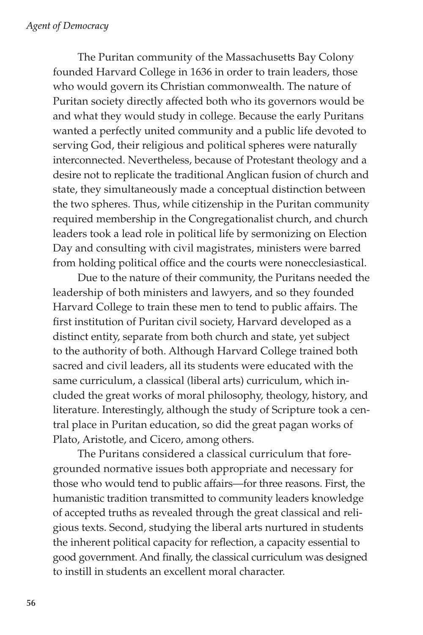The Puritan community of the Massachusetts Bay Colony founded Harvard College in 1636 in order to train leaders, those who would govern its Christian commonwealth. The nature of Puritan society directly affected both who its governors would be and what they would study in college. Because the early Puritans wanted a perfectly united community and a public life devoted to serving God, their religious and political spheres were naturally interconnected. Nevertheless, because of Protestant theology and a desire not to replicate the traditional Anglican fusion of church and state, they simultaneously made a conceptual distinction between the two spheres. Thus, while citizenship in the Puritan community required membership in the Congregationalist church, and church leaders took a lead role in political life by sermonizing on Election Day and consulting with civil magistrates, ministers were barred from holding political office and the courts were nonecclesiastical.

Due to the nature of their community, the Puritans needed the leadership of both ministers and lawyers, and so they founded Harvard College to train these men to tend to public affairs. The first institution of Puritan civil society, Harvard developed as a distinct entity, separate from both church and state, yet subject to the authority of both. Although Harvard College trained both sacred and civil leaders, all its students were educated with the same curriculum, a classical (liberal arts) curriculum, which included the great works of moral philosophy, theology, history, and literature. Interestingly, although the study of Scripture took a central place in Puritan education, so did the great pagan works of Plato, Aristotle, and Cicero, among others.

The Puritans considered a classical curriculum that foregrounded normative issues both appropriate and necessary for those who would tend to public affairs—for three reasons. First, the humanistic tradition transmitted to community leaders knowledge of accepted truths as revealed through the great classical and religious texts. Second, studying the liberal arts nurtured in students the inherent political capacity for reflection, a capacity essential to good government. And finally, the classical curriculum was designed to instill in students an excellent moral character.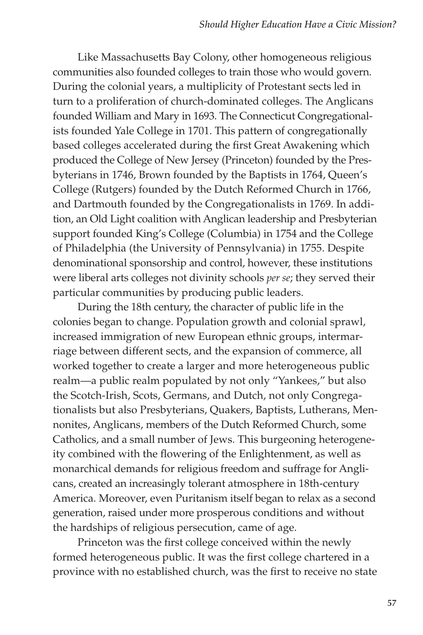Like Massachusetts Bay Colony, other homogeneous religious communities also founded colleges to train those who would govern. During the colonial years, a multiplicity of Protestant sects led in turn to a proliferation of church-dominated colleges. The Anglicans founded William and Mary in 1693. The Connecticut Congregationalists founded Yale College in 1701. This pattern of congregationally based colleges accelerated during the first Great Awakening which produced the College of New Jersey (Princeton) founded by the Presbyterians in 1746, Brown founded by the Baptists in 1764, Queen's College (Rutgers) founded by the Dutch Reformed Church in 1766, and Dartmouth founded by the Congregationalists in 1769. In addition, an Old Light coalition with Anglican leadership and Presbyterian support founded King's College (Columbia) in 1754 and the College of Philadelphia (the University of Pennsylvania) in 1755. Despite denominational sponsorship and control, however, these institutions were liberal arts colleges not divinity schools *per se*; they served their particular communities by producing public leaders.

During the 18th century, the character of public life in the colonies began to change. Population growth and colonial sprawl, increased immigration of new European ethnic groups, intermarriage between different sects, and the expansion of commerce, all worked together to create a larger and more heterogeneous public realm—a public realm populated by not only "Yankees," but also the Scotch-Irish, Scots, Germans, and Dutch, not only Congregationalists but also Presbyterians, Quakers, Baptists, Lutherans, Mennonites, Anglicans, members of the Dutch Reformed Church, some Catholics, and a small number of Jews. This burgeoning heterogeneity combined with the flowering of the Enlightenment, as well as monarchical demands for religious freedom and suffrage for Anglicans, created an increasingly tolerant atmosphere in 18th-century America. Moreover, even Puritanism itself began to relax as a second generation, raised under more prosperous conditions and without the hardships of religious persecution, came of age.

Princeton was the first college conceived within the newly formed heterogeneous public. It was the first college chartered in a province with no established church, was the first to receive no state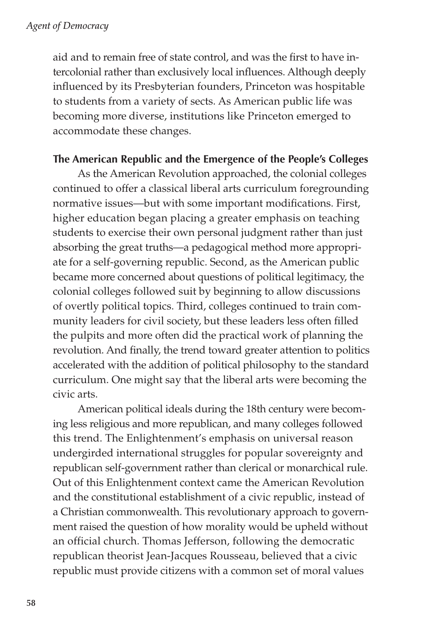aid and to remain free of state control, and was the first to have intercolonial rather than exclusively local influences. Although deeply influenced by its Presbyterian founders, Princeton was hospitable to students from a variety of sects. As American public life was becoming more diverse, institutions like Princeton emerged to accommodate these changes.

## **The American Republic and the Emergence of the People's Colleges**

As the American Revolution approached, the colonial colleges continued to offer a classical liberal arts curriculum foregrounding normative issues—but with some important modifications. First, higher education began placing a greater emphasis on teaching students to exercise their own personal judgment rather than just absorbing the great truths—a pedagogical method more appropriate for a self-governing republic. Second, as the American public became more concerned about questions of political legitimacy, the colonial colleges followed suit by beginning to allow discussions of overtly political topics. Third, colleges continued to train community leaders for civil society, but these leaders less often filled the pulpits and more often did the practical work of planning the revolution. And finally, the trend toward greater attention to politics accelerated with the addition of political philosophy to the standard curriculum. One might say that the liberal arts were becoming the civic arts.

American political ideals during the 18th century were becoming less religious and more republican, and many colleges followed this trend. The Enlightenment's emphasis on universal reason undergirded international struggles for popular sovereignty and republican self-government rather than clerical or monarchical rule. Out of this Enlightenment context came the American Revolution and the constitutional establishment of a civic republic, instead of a Christian commonwealth. This revolutionary approach to government raised the question of how morality would be upheld without an official church. Thomas Jefferson, following the democratic republican theorist Jean-Jacques Rousseau, believed that a civic republic must provide citizens with a common set of moral values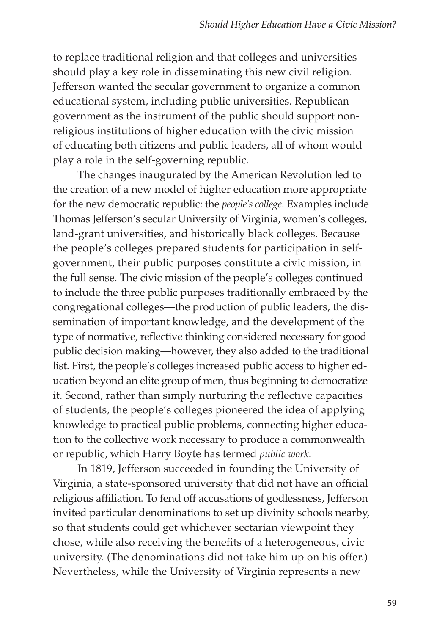to replace traditional religion and that colleges and universities should play a key role in disseminating this new civil religion. Jefferson wanted the secular government to organize a common educational system, including public universities. Republican government as the instrument of the public should support nonreligious institutions of higher education with the civic mission of educating both citizens and public leaders, all of whom would play a role in the self-governing republic.

The changes inaugurated by the American Revolution led to the creation of a new model of higher education more appropriate for the new democratic republic: the *people's college*. Examples include Thomas Jefferson's secular University of Virginia, women's colleges, land-grant universities, and historically black colleges. Because the people's colleges prepared students for participation in selfgovernment, their public purposes constitute a civic mission, in the full sense. The civic mission of the people's colleges continued to include the three public purposes traditionally embraced by the congregational colleges—the production of public leaders, the dissemination of important knowledge, and the development of the type of normative, reflective thinking considered necessary for good public decision making—however, they also added to the traditional list. First, the people's colleges increased public access to higher education beyond an elite group of men, thus beginning to democratize it. Second, rather than simply nurturing the reflective capacities of students, the people's colleges pioneered the idea of applying knowledge to practical public problems, connecting higher education to the collective work necessary to produce a commonwealth or republic, which Harry Boyte has termed *public work*.

In 1819, Jefferson succeeded in founding the University of Virginia, a state-sponsored university that did not have an official religious affiliation. To fend off accusations of godlessness, Jefferson invited particular denominations to set up divinity schools nearby, so that students could get whichever sectarian viewpoint they chose, while also receiving the benefits of a heterogeneous, civic university. (The denominations did not take him up on his offer.) Nevertheless, while the University of Virginia represents a new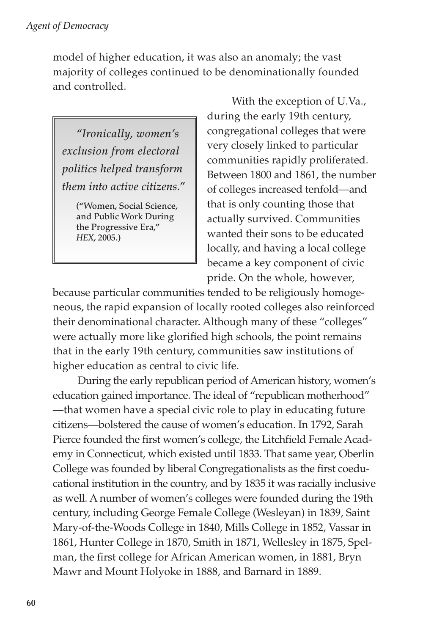model of higher education, it was also an anomaly; the vast majority of colleges continued to be denominationally founded and controlled.

*"Ironically, women's exclusion from electoral politics helped transform them into active citizens."*

> **("Women, Social Science, and Public Work During the Progressive Era,"** *HEX***, 2005.)**

With the exception of U.Va., during the early 19th century, congregational colleges that were very closely linked to particular communities rapidly proliferated. Between 1800 and 1861, the number of colleges increased tenfold—and that is only counting those that actually survived. Communities wanted their sons to be educated locally, and having a local college became a key component of civic pride. On the whole, however,

because particular communities tended to be religiously homogeneous, the rapid expansion of locally rooted colleges also reinforced their denominational character. Although many of these "colleges" were actually more like glorified high schools, the point remains that in the early 19th century, communities saw institutions of higher education as central to civic life.

During the early republican period of American history, women's education gained importance. The ideal of "republican motherhood" —that women have a special civic role to play in educating future citizens—bolstered the cause of women's education. In 1792, Sarah Pierce founded the first women's college, the Litchfield Female Academy in Connecticut, which existed until 1833. That same year, Oberlin College was founded by liberal Congregationalists as the first coeducational institution in the country, and by 1835 it was racially inclusive as well. A number of women's colleges were founded during the 19th century, including George Female College (Wesleyan) in 1839, Saint Mary-of-the-Woods College in 1840, Mills College in 1852, Vassar in 1861, Hunter College in 1870, Smith in 1871, Wellesley in 1875, Spelman, the first college for African American women, in 1881, Bryn Mawr and Mount Holyoke in 1888, and Barnard in 1889.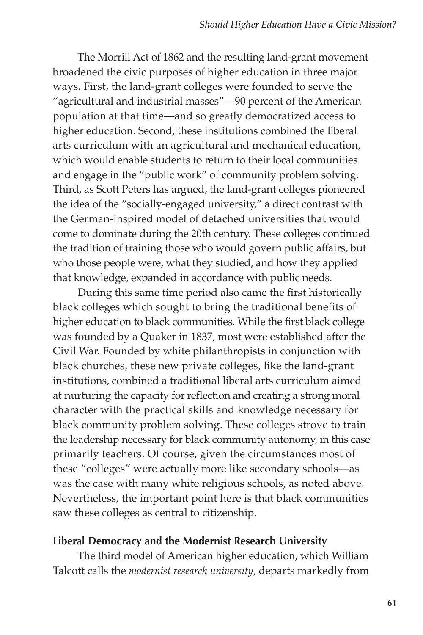The Morrill Act of 1862 and the resulting land-grant movement broadened the civic purposes of higher education in three major ways. First, the land-grant colleges were founded to serve the "agricultural and industrial masses"—90 percent of the American population at that time—and so greatly democratized access to higher education. Second, these institutions combined the liberal arts curriculum with an agricultural and mechanical education, which would enable students to return to their local communities and engage in the "public work" of community problem solving. Third, as Scott Peters has argued, the land-grant colleges pioneered the idea of the "socially-engaged university," a direct contrast with the German-inspired model of detached universities that would come to dominate during the 20th century. These colleges continued the tradition of training those who would govern public affairs, but who those people were, what they studied, and how they applied that knowledge, expanded in accordance with public needs.

During this same time period also came the first historically black colleges which sought to bring the traditional benefits of higher education to black communities. While the first black college was founded by a Quaker in 1837, most were established after the Civil War. Founded by white philanthropists in conjunction with black churches, these new private colleges, like the land-grant institutions, combined a traditional liberal arts curriculum aimed at nurturing the capacity for reflection and creating a strong moral character with the practical skills and knowledge necessary for black community problem solving. These colleges strove to train the leadership necessary for black community autonomy, in this case primarily teachers. Of course, given the circumstances most of these "colleges" were actually more like secondary schools—as was the case with many white religious schools, as noted above. Nevertheless, the important point here is that black communities saw these colleges as central to citizenship.

#### **Liberal Democracy and the Modernist Research University**

The third model of American higher education, which William Talcott calls the *modernist research university*, departs markedly from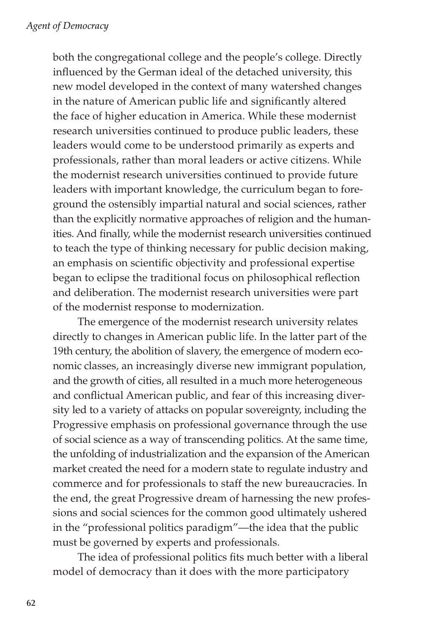both the congregational college and the people's college. Directly influenced by the German ideal of the detached university, this new model developed in the context of many watershed changes in the nature of American public life and significantly altered the face of higher education in America. While these modernist research universities continued to produce public leaders, these leaders would come to be understood primarily as experts and professionals, rather than moral leaders or active citizens. While the modernist research universities continued to provide future leaders with important knowledge, the curriculum began to foreground the ostensibly impartial natural and social sciences, rather than the explicitly normative approaches of religion and the humanities. And finally, while the modernist research universities continued to teach the type of thinking necessary for public decision making, an emphasis on scientific objectivity and professional expertise began to eclipse the traditional focus on philosophical reflection and deliberation. The modernist research universities were part of the modernist response to modernization.

The emergence of the modernist research university relates directly to changes in American public life. In the latter part of the 19th century, the abolition of slavery, the emergence of modern economic classes, an increasingly diverse new immigrant population, and the growth of cities, all resulted in a much more heterogeneous and conflictual American public, and fear of this increasing diversity led to a variety of attacks on popular sovereignty, including the Progressive emphasis on professional governance through the use of social science as a way of transcending politics. At the same time, the unfolding of industrialization and the expansion of the American market created the need for a modern state to regulate industry and commerce and for professionals to staff the new bureaucracies. In the end, the great Progressive dream of harnessing the new professions and social sciences for the common good ultimately ushered in the "professional politics paradigm"—the idea that the public must be governed by experts and professionals.

The idea of professional politics fits much better with a liberal model of democracy than it does with the more participatory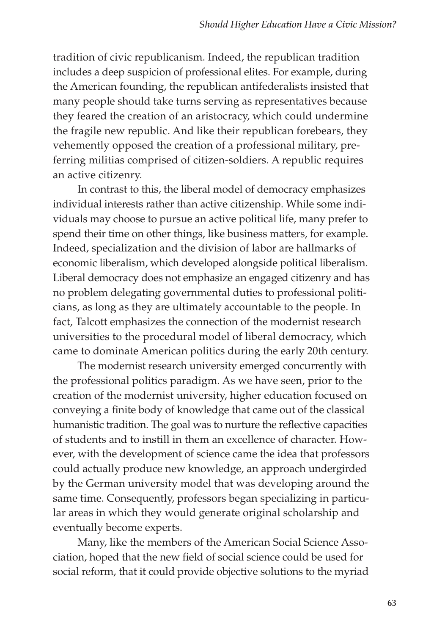tradition of civic republicanism. Indeed, the republican tradition includes a deep suspicion of professional elites. For example, during the American founding, the republican antifederalists insisted that many people should take turns serving as representatives because they feared the creation of an aristocracy, which could undermine the fragile new republic. And like their republican forebears, they vehemently opposed the creation of a professional military, preferring militias comprised of citizen-soldiers. A republic requires an active citizenry.

In contrast to this, the liberal model of democracy emphasizes individual interests rather than active citizenship. While some individuals may choose to pursue an active political life, many prefer to spend their time on other things, like business matters, for example. Indeed, specialization and the division of labor are hallmarks of economic liberalism, which developed alongside political liberalism. Liberal democracy does not emphasize an engaged citizenry and has no problem delegating governmental duties to professional politicians, as long as they are ultimately accountable to the people. In fact, Talcott emphasizes the connection of the modernist research universities to the procedural model of liberal democracy, which came to dominate American politics during the early 20th century.

The modernist research university emerged concurrently with the professional politics paradigm. As we have seen, prior to the creation of the modernist university, higher education focused on conveying a finite body of knowledge that came out of the classical humanistic tradition. The goal was to nurture the reflective capacities of students and to instill in them an excellence of character. However, with the development of science came the idea that professors could actually produce new knowledge, an approach undergirded by the German university model that was developing around the same time. Consequently, professors began specializing in particular areas in which they would generate original scholarship and eventually become experts.

Many, like the members of the American Social Science Association, hoped that the new field of social science could be used for social reform, that it could provide objective solutions to the myriad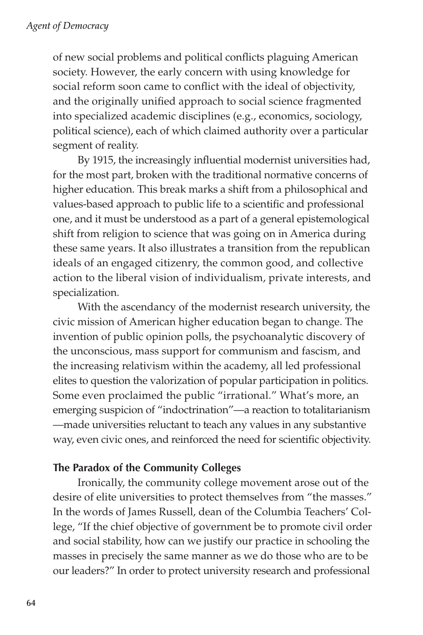of new social problems and political conflicts plaguing American society. However, the early concern with using knowledge for social reform soon came to conflict with the ideal of objectivity, and the originally unified approach to social science fragmented into specialized academic disciplines (e.g., economics, sociology, political science), each of which claimed authority over a particular segment of reality.

By 1915, the increasingly influential modernist universities had, for the most part, broken with the traditional normative concerns of higher education. This break marks a shift from a philosophical and values-based approach to public life to a scientific and professional one, and it must be understood as a part of a general epistemological shift from religion to science that was going on in America during these same years. It also illustrates a transition from the republican ideals of an engaged citizenry, the common good, and collective action to the liberal vision of individualism, private interests, and specialization.

With the ascendancy of the modernist research university, the civic mission of American higher education began to change. The invention of public opinion polls, the psychoanalytic discovery of the unconscious, mass support for communism and fascism, and the increasing relativism within the academy, all led professional elites to question the valorization of popular participation in politics. Some even proclaimed the public "irrational." What's more, an emerging suspicion of "indoctrination"—a reaction to totalitarianism —made universities reluctant to teach any values in any substantive way, even civic ones, and reinforced the need for scientific objectivity.

## **The Paradox of the Community Colleges**

Ironically, the community college movement arose out of the desire of elite universities to protect themselves from "the masses." In the words of James Russell, dean of the Columbia Teachers' College, "If the chief objective of government be to promote civil order and social stability, how can we justify our practice in schooling the masses in precisely the same manner as we do those who are to be our leaders?" In order to protect university research and professional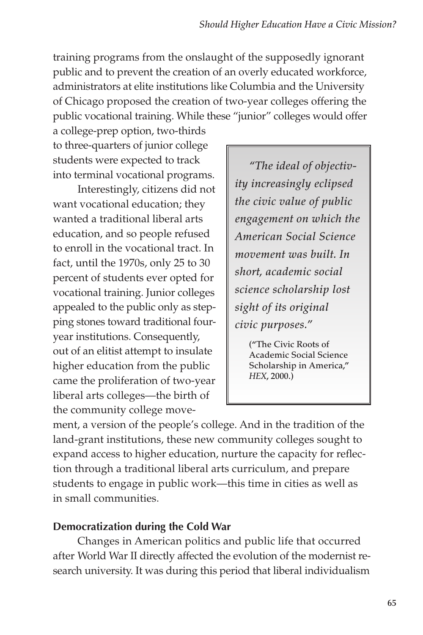training programs from the onslaught of the supposedly ignorant public and to prevent the creation of an overly educated workforce, administrators at elite institutions like Columbia and the University of Chicago proposed the creation of two-year colleges offering the public vocational training. While these "junior" colleges would offer

a college-prep option, two-thirds to three-quarters of junior college students were expected to track into terminal vocational programs.

Interestingly, citizens did not want vocational education; they wanted a traditional liberal arts education, and so people refused to enroll in the vocational tract. In fact, until the 1970s, only 25 to 30 percent of students ever opted for vocational training. Junior colleges appealed to the public only as stepping stones toward traditional fouryear institutions. Consequently, out of an elitist attempt to insulate higher education from the public came the proliferation of two-year liberal arts colleges—the birth of the community college move-

*"The ideal of objectivity increasingly eclipsed the civic value of public engagement on which the American Social Science movement was built. In short, academic social science scholarship lost sight of its original civic purposes."*

> **("The Civic Roots of Academic Social Science Scholarship in America,"** *HEX***, 2000.)**

ment, a version of the people's college. And in the tradition of the land-grant institutions, these new community colleges sought to expand access to higher education, nurture the capacity for reflection through a traditional liberal arts curriculum, and prepare students to engage in public work—this time in cities as well as in small communities.

# **Democratization during the Cold War**

Changes in American politics and public life that occurred after World War II directly affected the evolution of the modernist research university. It was during this period that liberal individualism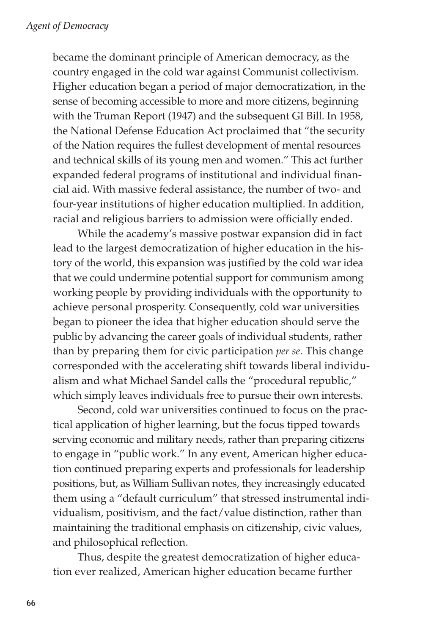became the dominant principle of American democracy, as the country engaged in the cold war against Communist collectivism. Higher education began a period of major democratization, in the sense of becoming accessible to more and more citizens, beginning with the Truman Report (1947) and the subsequent GI Bill. In 1958, the National Defense Education Act proclaimed that "the security of the Nation requires the fullest development of mental resources and technical skills of its young men and women." This act further expanded federal programs of institutional and individual financial aid. With massive federal assistance, the number of two- and four-year institutions of higher education multiplied. In addition, racial and religious barriers to admission were officially ended.

While the academy's massive postwar expansion did in fact lead to the largest democratization of higher education in the history of the world, this expansion was justified by the cold war idea that we could undermine potential support for communism among working people by providing individuals with the opportunity to achieve personal prosperity. Consequently, cold war universities began to pioneer the idea that higher education should serve the public by advancing the career goals of individual students, rather than by preparing them for civic participation *per se*. This change corresponded with the accelerating shift towards liberal individualism and what Michael Sandel calls the "procedural republic," which simply leaves individuals free to pursue their own interests.

Second, cold war universities continued to focus on the practical application of higher learning, but the focus tipped towards serving economic and military needs, rather than preparing citizens to engage in "public work." In any event, American higher education continued preparing experts and professionals for leadership positions, but, as William Sullivan notes, they increasingly educated them using a "default curriculum" that stressed instrumental individualism, positivism, and the fact/value distinction, rather than maintaining the traditional emphasis on citizenship, civic values, and philosophical reflection.

Thus, despite the greatest democratization of higher education ever realized, American higher education became further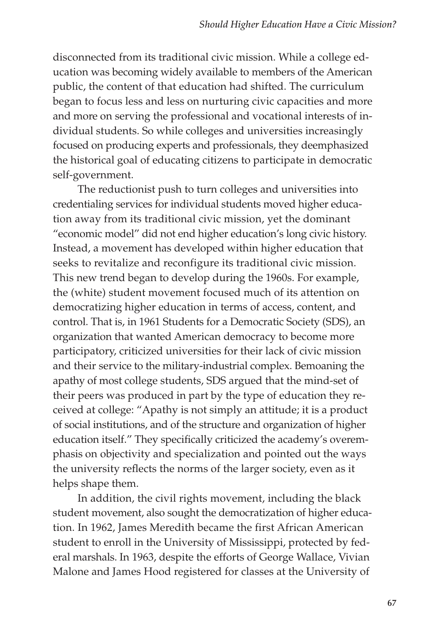disconnected from its traditional civic mission. While a college education was becoming widely available to members of the American public, the content of that education had shifted. The curriculum began to focus less and less on nurturing civic capacities and more and more on serving the professional and vocational interests of individual students. So while colleges and universities increasingly focused on producing experts and professionals, they deemphasized the historical goal of educating citizens to participate in democratic self-government.

The reductionist push to turn colleges and universities into credentialing services for individual students moved higher education away from its traditional civic mission, yet the dominant "economic model" did not end higher education's long civic history. Instead, a movement has developed within higher education that seeks to revitalize and reconfigure its traditional civic mission. This new trend began to develop during the 1960s. For example, the (white) student movement focused much of its attention on democratizing higher education in terms of access, content, and control. That is, in 1961 Students for a Democratic Society (SDS), an organization that wanted American democracy to become more participatory, criticized universities for their lack of civic mission and their service to the military-industrial complex. Bemoaning the apathy of most college students, SDS argued that the mind-set of their peers was produced in part by the type of education they received at college: "Apathy is not simply an attitude; it is a product of social institutions, and of the structure and organization of higher education itself." They specifically criticized the academy's overemphasis on objectivity and specialization and pointed out the ways the university reflects the norms of the larger society, even as it helps shape them.

In addition, the civil rights movement, including the black student movement, also sought the democratization of higher education. In 1962, James Meredith became the first African American student to enroll in the University of Mississippi, protected by federal marshals. In 1963, despite the efforts of George Wallace, Vivian Malone and James Hood registered for classes at the University of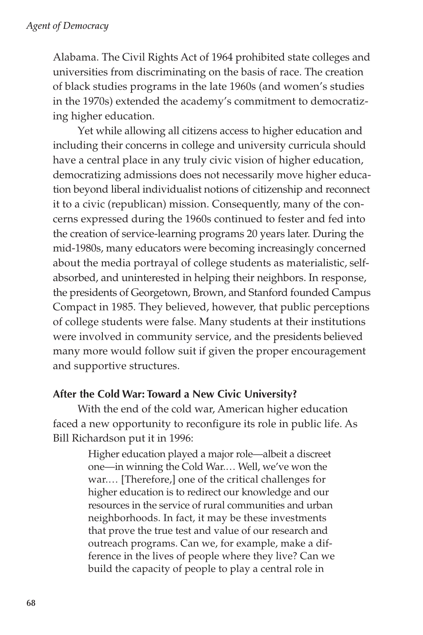Alabama. The Civil Rights Act of 1964 prohibited state colleges and universities from discriminating on the basis of race. The creation of black studies programs in the late 1960s (and women's studies in the 1970s) extended the academy's commitment to democratizing higher education.

Yet while allowing all citizens access to higher education and including their concerns in college and university curricula should have a central place in any truly civic vision of higher education, democratizing admissions does not necessarily move higher education beyond liberal individualist notions of citizenship and reconnect it to a civic (republican) mission. Consequently, many of the concerns expressed during the 1960s continued to fester and fed into the creation of service-learning programs 20 years later. During the mid-1980s, many educators were becoming increasingly concerned about the media portrayal of college students as materialistic, selfabsorbed, and uninterested in helping their neighbors. In response, the presidents of Georgetown, Brown, and Stanford founded Campus Compact in 1985. They believed, however, that public perceptions of college students were false. Many students at their institutions were involved in community service, and the presidents believed many more would follow suit if given the proper encouragement and supportive structures.

#### **After the Cold War: Toward a New Civic University?**

With the end of the cold war, American higher education faced a new opportunity to reconfigure its role in public life. As Bill Richardson put it in 1996:

> Higher education played a major role—albeit a discreet one—in winning the Cold War.… Well, we've won the war.… [Therefore,] one of the critical challenges for higher education is to redirect our knowledge and our resources in the service of rural communities and urban neighborhoods. In fact, it may be these investments that prove the true test and value of our research and outreach programs. Can we, for example, make a difference in the lives of people where they live? Can we build the capacity of people to play a central role in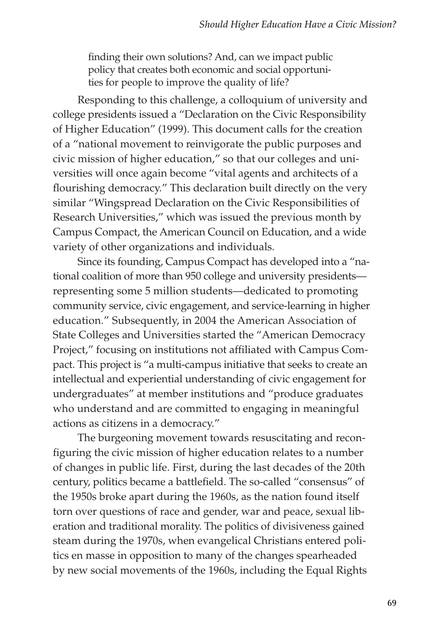finding their own solutions? And, can we impact public policy that creates both economic and social opportunities for people to improve the quality of life?

Responding to this challenge, a colloquium of university and college presidents issued a "Declaration on the Civic Responsibility of Higher Education" (1999). This document calls for the creation of a "national movement to reinvigorate the public purposes and civic mission of higher education," so that our colleges and universities will once again become "vital agents and architects of a flourishing democracy." This declaration built directly on the very similar "Wingspread Declaration on the Civic Responsibilities of Research Universities," which was issued the previous month by Campus Compact, the American Council on Education, and a wide variety of other organizations and individuals.

Since its founding, Campus Compact has developed into a "national coalition of more than 950 college and university presidents representing some 5 million students—dedicated to promoting community service, civic engagement, and service-learning in higher education." Subsequently, in 2004 the American Association of State Colleges and Universities started the "American Democracy Project," focusing on institutions not affiliated with Campus Compact. This project is "a multi-campus initiative that seeks to create an intellectual and experiential understanding of civic engagement for undergraduates" at member institutions and "produce graduates who understand and are committed to engaging in meaningful actions as citizens in a democracy."

The burgeoning movement towards resuscitating and reconfiguring the civic mission of higher education relates to a number of changes in public life. First, during the last decades of the 20th century, politics became a battlefield. The so-called "consensus" of the 1950s broke apart during the 1960s, as the nation found itself torn over questions of race and gender, war and peace, sexual liberation and traditional morality. The politics of divisiveness gained steam during the 1970s, when evangelical Christians entered politics en masse in opposition to many of the changes spearheaded by new social movements of the 1960s, including the Equal Rights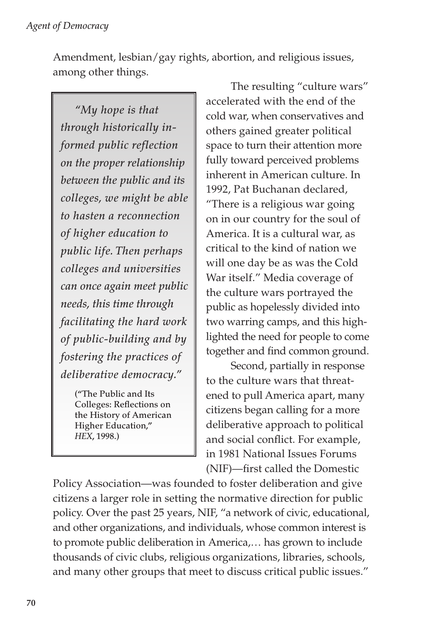Amendment, lesbian/gay rights, abortion, and religious issues, among other things.

*"My hope is that through historically informed public reflection on the proper relationship between the public and its colleges, we might be able to hasten a reconnection of higher education to public life. Then perhaps colleges and universities can once again meet public needs, this time through facilitating the hard work of public-building and by fostering the practices of deliberative democracy."*

> **("The Public and Its Colleges: Reflections on the History of American Higher Education,"** *HEX***, 1998.)**

The resulting "culture wars" accelerated with the end of the cold war, when conservatives and others gained greater political space to turn their attention more fully toward perceived problems inherent in American culture. In 1992, Pat Buchanan declared, "There is a religious war going on in our country for the soul of America. It is a cultural war, as critical to the kind of nation we will one day be as was the Cold War itself." Media coverage of the culture wars portrayed the public as hopelessly divided into two warring camps, and this highlighted the need for people to come together and find common ground.

Second, partially in response to the culture wars that threatened to pull America apart, many citizens began calling for a more deliberative approach to political and social conflict. For example, in 1981 National Issues Forums (NIF)—first called the Domestic

Policy Association—was founded to foster deliberation and give citizens a larger role in setting the normative direction for public policy. Over the past 25 years, NIF, "a network of civic, educational, and other organizations, and individuals, whose common interest is to promote public deliberation in America,… has grown to include thousands of civic clubs, religious organizations, libraries, schools, and many other groups that meet to discuss critical public issues."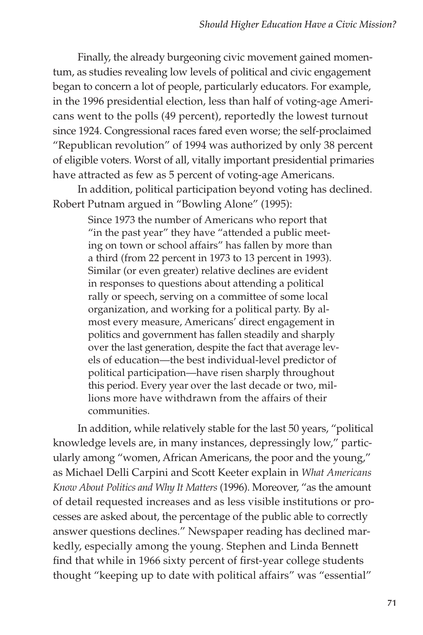Finally, the already burgeoning civic movement gained momentum, as studies revealing low levels of political and civic engagement began to concern a lot of people, particularly educators. For example, in the 1996 presidential election, less than half of voting-age Americans went to the polls (49 percent), reportedly the lowest turnout since 1924. Congressional races fared even worse; the self-proclaimed "Republican revolution" of 1994 was authorized by only 38 percent of eligible voters. Worst of all, vitally important presidential primaries have attracted as few as 5 percent of voting-age Americans.

In addition, political participation beyond voting has declined. Robert Putnam argued in "Bowling Alone" (1995):

> Since 1973 the number of Americans who report that "in the past year" they have "attended a public meeting on town or school affairs" has fallen by more than a third (from 22 percent in 1973 to 13 percent in 1993). Similar (or even greater) relative declines are evident in responses to questions about attending a political rally or speech, serving on a committee of some local organization, and working for a political party. By almost every measure, Americans' direct engagement in politics and government has fallen steadily and sharply over the last generation, despite the fact that average levels of education—the best individual-level predictor of political participation—have risen sharply throughout this period. Every year over the last decade or two, millions more have withdrawn from the affairs of their communities.

In addition, while relatively stable for the last 50 years, "political knowledge levels are, in many instances, depressingly low," particularly among "women, African Americans, the poor and the young," as Michael Delli Carpini and Scott Keeter explain in *What Americans Know About Politics and Why It Matters* (1996). Moreover, "as the amount of detail requested increases and as less visible institutions or processes are asked about, the percentage of the public able to correctly answer questions declines." Newspaper reading has declined markedly, especially among the young. Stephen and Linda Bennett find that while in 1966 sixty percent of first-year college students thought "keeping up to date with political affairs" was "essential"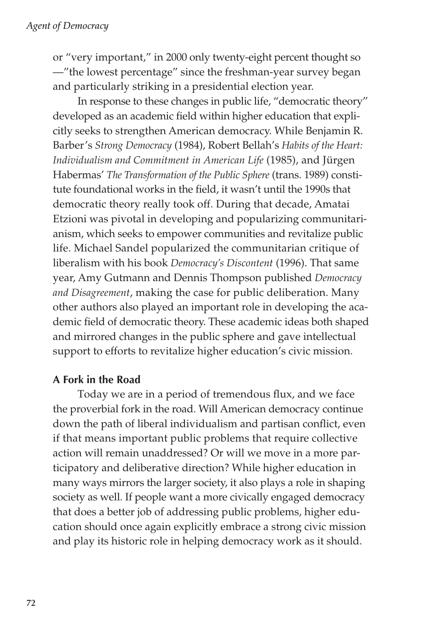or "very important," in 2000 only twenty-eight percent thought so —"the lowest percentage" since the freshman-year survey began and particularly striking in a presidential election year.

In response to these changes in public life, "democratic theory" developed as an academic field within higher education that explicitly seeks to strengthen American democracy. While Benjamin R. Barber's *Strong Democracy* (1984), Robert Bellah's *Habits of the Heart: Individualism and Commitment in American Life* (1985), and Jürgen Habermas' *The Transformation of the Public Sphere* (trans. 1989) constitute foundational works in the field, it wasn't until the 1990s that democratic theory really took off. During that decade, Amatai Etzioni was pivotal in developing and popularizing communitarianism, which seeks to empower communities and revitalize public life. Michael Sandel popularized the communitarian critique of liberalism with his book *Democracy's Discontent* (1996). That same year, Amy Gutmann and Dennis Thompson published *Democracy and Disagreement*, making the case for public deliberation. Many other authors also played an important role in developing the academic field of democratic theory. These academic ideas both shaped and mirrored changes in the public sphere and gave intellectual support to efforts to revitalize higher education's civic mission.

## **A Fork in the Road**

Today we are in a period of tremendous flux, and we face the proverbial fork in the road. Will American democracy continue down the path of liberal individualism and partisan conflict, even if that means important public problems that require collective action will remain unaddressed? Or will we move in a more participatory and deliberative direction? While higher education in many ways mirrors the larger society, it also plays a role in shaping society as well. If people want a more civically engaged democracy that does a better job of addressing public problems, higher education should once again explicitly embrace a strong civic mission and play its historic role in helping democracy work as it should.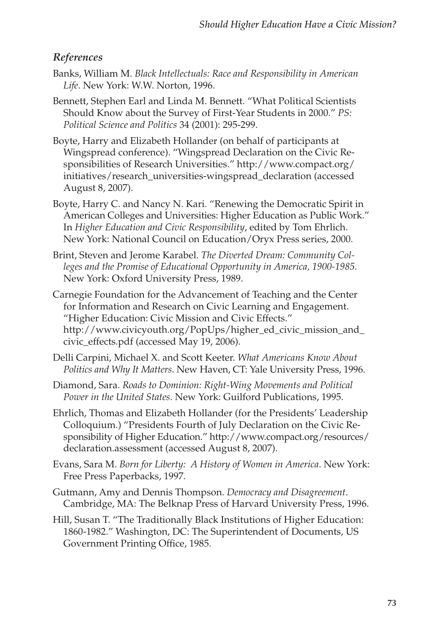#### *References*

- Banks, William M. *Black Intellectuals: Race and Responsibility in American Life*. New York: W.W. Norton, 1996.
- Bennett, Stephen Earl and Linda M. Bennett. "What Political Scientists Should Know about the Survey of First-Year Students in 2000." *PS: Political Science and Politics* 34 (2001): 295-299.
- Boyte, Harry and Elizabeth Hollander (on behalf of participants at Wingspread conference). "Wingspread Declaration on the Civic Responsibilities of Research Universities." http://www.compact.org/ initiatives/research\_universities-wingspread\_declaration (accessed August 8, 2007).
- Boyte, Harry C. and Nancy N. Kari. "Renewing the Democratic Spirit in American Colleges and Universities: Higher Education as Public Work." In *Higher Education and Civic Responsibility*, edited by Tom Ehrlich. New York: National Council on Education/Oryx Press series, 2000.
- Brint, Steven and Jerome Karabel. *The Diverted Dream: Community Colleges and the Promise of Educational Opportunity in America, 1900-1985*. New York: Oxford University Press, 1989.
- Carnegie Foundation for the Advancement of Teaching and the Center for Information and Research on Civic Learning and Engagement. "Higher Education: Civic Mission and Civic Effects." http://www.civicyouth.org/PopUps/higher\_ed\_civic\_mission\_and\_ civic\_effects.pdf (accessed May 19, 2006).
- Delli Carpini, Michael X. and Scott Keeter. *What Americans Know About Politics and Why It Matters*. New Haven, CT: Yale University Press, 1996.
- Diamond, Sara. *Roads to Dominion: Right-Wing Movements and Political Power in the United States*. New York: Guilford Publications, 1995.
- Ehrlich, Thomas and Elizabeth Hollander (for the Presidents' Leadership Colloquium.) "Presidents Fourth of July Declaration on the Civic Responsibility of Higher Education." http://www.compact.org/resources/ declaration.assessment (accessed August 8, 2007).
- Evans, Sara M. *Born for Liberty: A History of Women in America*. New York: Free Press Paperbacks, 1997.
- Gutmann, Amy and Dennis Thompson. *Democracy and Disagreement*. Cambridge, MA: The Belknap Press of Harvard University Press, 1996.
- Hill, Susan T. "The Traditionally Black Institutions of Higher Education: 1860-1982." Washington, DC: The Superintendent of Documents, US Government Printing Office, 1985.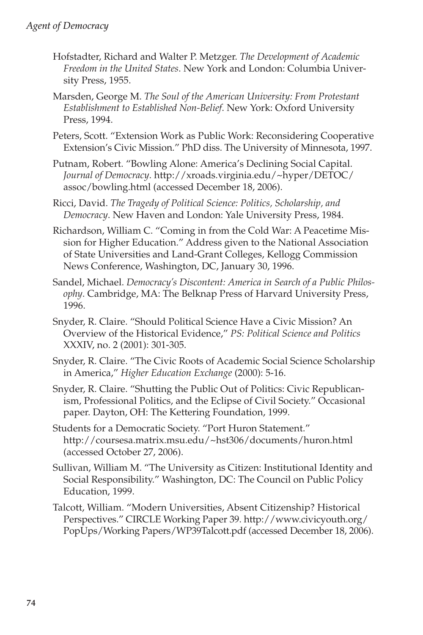- Hofstadter, Richard and Walter P. Metzger. *The Development of Academic Freedom in the United States*. New York and London: Columbia University Press, 1955.
- Marsden, George M. *The Soul of the American University: From Protestant Establishment to Established Non-Belief*. New York: Oxford University Press, 1994.
- Peters, Scott. "Extension Work as Public Work: Reconsidering Cooperative Extension's Civic Mission." PhD diss. The University of Minnesota, 1997.
- Putnam, Robert. "Bowling Alone: America's Declining Social Capital. *Journal of Democracy*. http://xroads.virginia.edu/~hyper/DETOC/ assoc/bowling.html (accessed December 18, 2006).
- Ricci, David. *The Tragedy of Political Science: Politics, Scholarship, and Democracy*. New Haven and London: Yale University Press, 1984.
- Richardson, William C. "Coming in from the Cold War: A Peacetime Mission for Higher Education." Address given to the National Association of State Universities and Land-Grant Colleges, Kellogg Commission News Conference, Washington, DC, January 30, 1996.
- Sandel, Michael. *Democracy's Discontent: America in Search of a Public Philosophy*. Cambridge, MA: The Belknap Press of Harvard University Press, 1996.
- Snyder, R. Claire. "Should Political Science Have a Civic Mission? An Overview of the Historical Evidence," *PS: Political Science and Politics* XXXIV, no. 2 (2001): 301-305.
- Snyder, R. Claire. "The Civic Roots of Academic Social Science Scholarship in America," *Higher Education Exchange* (2000): 5-16.
- Snyder, R. Claire. "Shutting the Public Out of Politics: Civic Republicanism, Professional Politics, and the Eclipse of Civil Society." Occasional paper. Dayton, OH: The Kettering Foundation, 1999.
- Students for a Democratic Society. "Port Huron Statement." http://coursesa.matrix.msu.edu/~hst306/documents/huron.html (accessed October 27, 2006).
- Sullivan, William M. "The University as Citizen: Institutional Identity and Social Responsibility." Washington, DC: The Council on Public Policy Education, 1999.
- Talcott, William. "Modern Universities, Absent Citizenship? Historical Perspectives." CIRCLE Working Paper 39. http://www.civicyouth.org/ PopUps/Working Papers/WP39Talcott.pdf (accessed December 18, 2006).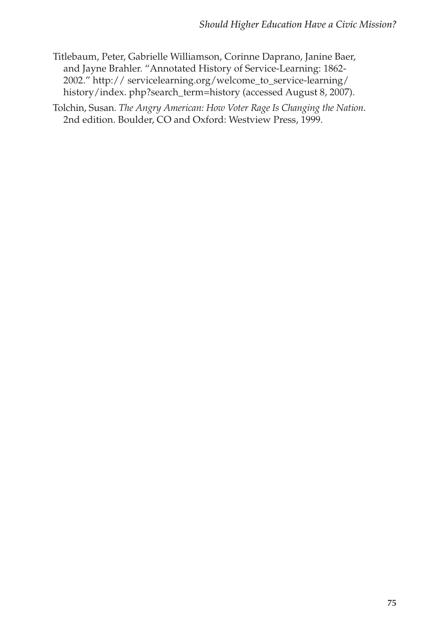- Titlebaum, Peter, Gabrielle Williamson, Corinne Daprano, Janine Baer, and Jayne Brahler. "Annotated History of Service-Learning: 1862- 2002." http:// servicelearning.org/welcome\_to\_service-learning/ history/index. php?search\_term=history (accessed August 8, 2007).
- Tolchin, Susan. *The Angry American: How Voter Rage Is Changing the Nation*. 2nd edition. Boulder, CO and Oxford: Westview Press, 1999.